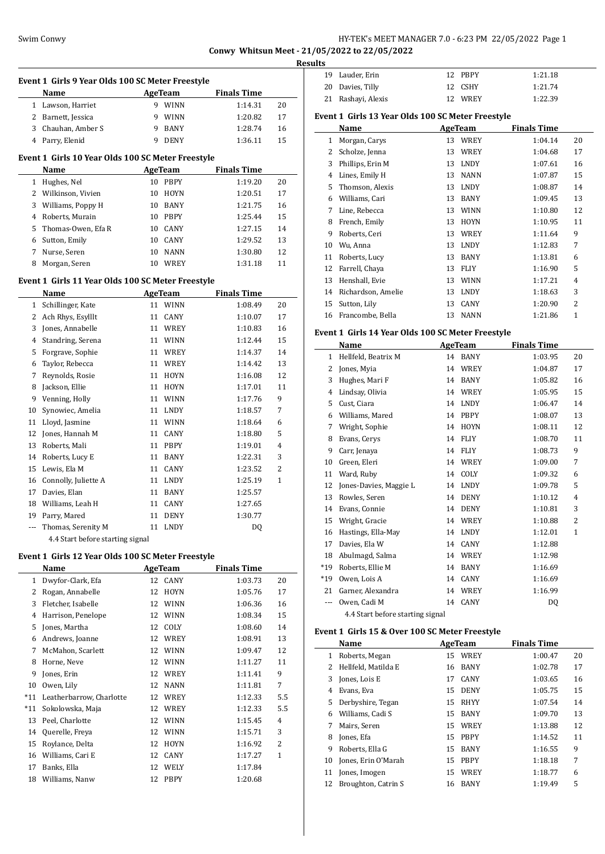# Swim Conwy HY-TEK's MEET MANAGER 7.0 - 6:23 PM 22/05/2022 Page 1 **Conwy Whitsun Meet - 21/05/2022 to 22/05/2022**

**Results**

|              | Event 1 Girls 9 Year Olds 100 SC Meter Freestyle<br>Name |    | AgeTeam        | <b>Finals Time</b> |              |
|--------------|----------------------------------------------------------|----|----------------|--------------------|--------------|
|              | 1 Lawson, Harriet                                        |    | 9 WINN         | 1:14.31            | 20           |
|              | 2 Barnett, Jessica                                       |    | 9 WINN         | 1:20.82            | 17           |
|              | 3 Chauhan, Amber S                                       | 9  | BANY           | 1:28.74            | 16           |
|              | 4 Parry, Elenid                                          | 9  | <b>DENY</b>    | 1:36.11            | 15           |
|              |                                                          |    |                |                    |              |
|              | Event 1 Girls 10 Year Olds 100 SC Meter Freestyle        |    |                |                    |              |
|              | Name                                                     |    | <b>AgeTeam</b> | <b>Finals Time</b> |              |
| 1            | Hughes, Nel                                              | 10 | <b>PBPY</b>    | 1:19.20            | 20           |
|              | 2 Wilkinson, Vivien                                      | 10 | HOYN           | 1:20.51            | 17           |
| 3            | Williams, Poppy H                                        |    | 10 BANY        | 1:21.75            | 16           |
| 4            | Roberts, Murain                                          |    | 10 PBPY        | 1:25.44            | 15           |
| 5            | Thomas-Owen, Efa R                                       |    | 10 CANY        | 1:27.15            | 14           |
| 6            | Sutton, Emily                                            |    | 10 CANY        | 1:29.52            | 13           |
| 7            | Nurse, Seren                                             |    | 10 NANN        | 1:30.80            | 12           |
| 8            | Morgan, Seren                                            |    | 10 WREY        | 1:31.18            | 11           |
|              | Event 1 Girls 11 Year Olds 100 SC Meter Freestyle        |    |                |                    |              |
|              | Name                                                     |    | AgeTeam        | <b>Finals Time</b> |              |
| $\mathbf{1}$ | Schillinger, Kate                                        | 11 | <b>WINN</b>    | 1:08.49            | 20           |
| 2            | Ach Rhys, Esylllt                                        | 11 | CANY           | 1:10.07            | 17           |
| 3            | Jones, Annabelle                                         |    | 11 WREY        | 1:10.83            | 16           |
| 4            | Standring, Serena                                        |    | 11 WINN        | 1:12.44            | 15           |
| 5            | Forgrave, Sophie                                         |    | 11 WREY        | 1:14.37            | 14           |
| 6            | Taylor, Rebecca                                          |    | 11 WREY        | 1:14.42            | 13           |
| 7            | Reynolds, Rosie                                          |    | 11 HOYN        | 1:16.08            | 12           |
| 8            | Jackson, Ellie                                           |    | 11 HOYN        | 1:17.01            | 11           |
| 9            | Venning, Holly                                           |    | 11 WINN        | 1:17.76            | 9            |
| 10           | Synowiec, Amelia                                         |    | 11 LNDY        | 1:18.57            | 7            |
| 11           | Lloyd, Jasmine                                           |    | 11 WINN        | 1:18.64            | 6            |
| 12           | Jones, Hannah M                                          |    | 11 CANY        | 1:18.80            | 5            |
| 13           | Roberts, Mali                                            |    | 11 PBPY        | 1:19.01            | 4            |
|              | 14 Roberts, Lucy E                                       | 11 | <b>BANY</b>    | 1:22.31            | 3            |
|              | 15 Lewis, Ela M                                          | 11 | CANY           | 1:23.52            | 2            |
|              | 16 Connolly, Juliette A                                  |    | 11 LNDY        | 1:25.19            | 1            |
| 17           | Davies, Elan                                             | 11 | BANY           | 1:25.57            |              |
|              | 18 Williams, Leah H                                      |    | 11 CANY        | 1:27.65            |              |
| 19           | Parry, Mared                                             |    | 11 DENY        | 1:30.77            |              |
| ---          | Thomas, Serenity M                                       |    | 11 LNDY        | DQ                 |              |
|              | 4.4 Start before starting signal                         |    |                |                    |              |
|              | Event 1 Girls 12 Year Olds 100 SC Meter Freestyle        |    |                |                    |              |
|              | Name                                                     |    | <b>AgeTeam</b> | <b>Finals Time</b> |              |
| $\mathbf{1}$ | Dwyfor-Clark, Efa                                        |    | 12 CANY        | 1:03.73            | 20           |
| 2            | Rogan, Annabelle                                         | 12 | HOYN           | 1:05.76            | 17           |
| 3            | Fletcher, Isabelle                                       |    | 12 WINN        | 1:06.36            | 16           |
| 4            | Harrison, Penelope                                       |    | 12 WINN        | 1:08.34            | 15           |
| 5            | Jones, Martha                                            |    | 12 COLY        | 1:08.60            | 14           |
|              | 6 Andrews, Joanne                                        |    | 12 WREY        | 1:08.91            | 13           |
| 7            | McMahon, Scarlett                                        |    | 12 WINN        | 1:09.47            | 12           |
| 8            | Horne, Neve                                              |    | 12 WINN        | 1:11.27            | 11           |
| 9            | Jones, Erin                                              |    | 12 WREY        | 1:11.41            | 9            |
| 10           | Owen, Lily                                               |    | 12 NANN        | 1:11.81            | 7            |
| $*11$        | Leatherbarrow, Charlotte                                 |    | 12 WREY        | 1:12.33            | 5.5          |
| *11          | Sokolowska, Maja                                         |    | 12 WREY        | 1:12.33            | 5.5          |
| 13           | Peel, Charlotte                                          |    | 12 WINN        | 1:15.45            | 4            |
|              | 14 Querelle, Freya                                       |    | 12 WINN        | 1:15.71            | 3            |
| 15           | Roylance, Delta                                          | 12 | <b>HOYN</b>    | 1:16.92            | 2            |
| 16           | Williams, Cari E                                         | 12 | CANY           | 1:17.27            | $\mathbf{1}$ |
| 17           | Banks, Ella                                              | 12 | WELY           | 1:17.84            |              |
| 18           | Williams, Nanw                                           |    | 12 PBPY        | 1:20.68            |              |
|              |                                                          |    |                |                    |              |

| LS |                    |         |         |
|----|--------------------|---------|---------|
|    | 19 Lauder, Erin    | 12 PRPY | 1:21.18 |
|    | 20 Davies, Tilly   | 12 CSHY | 1:21.74 |
|    | 21 Rashayi, Alexis | 12 WREY | 1:22.39 |

# **Event 1 Girls 13 Year Olds 100 SC Meter Freestyle**

|    | Name               |    | <b>AgeTeam</b> | <b>Finals Time</b> |                |
|----|--------------------|----|----------------|--------------------|----------------|
| 1  | Morgan, Carys      | 13 | WREY           | 1:04.14            | 20             |
| 2  | Scholze, Jenna     | 13 | WREY           | 1:04.68            | 17             |
| 3  | Phillips, Erin M   | 13 | <b>LNDY</b>    | 1:07.61            | 16             |
| 4  | Lines, Emily H     | 13 | <b>NANN</b>    | 1:07.87            | 15             |
| 5  | Thomson, Alexis    | 13 | <b>LNDY</b>    | 1:08.87            | 14             |
| 6  | Williams, Cari     | 13 | <b>BANY</b>    | 1:09.45            | 13             |
| 7  | Line, Rebecca      | 13 | <b>WINN</b>    | 1:10.80            | 12             |
| 8  | French, Emily      | 13 | <b>HOYN</b>    | 1:10.95            | 11             |
| 9  | Roberts, Ceri      | 13 | WREY           | 1:11.64            | 9              |
| 10 | Wu, Anna           | 13 | <b>LNDY</b>    | 1:12.83            | 7              |
| 11 | Roberts, Lucy      | 13 | BANY           | 1:13.81            | 6              |
| 12 | Farrell, Chaya     | 13 | <b>FLIY</b>    | 1:16.90            | 5              |
| 13 | Henshall, Evie     | 13 | <b>WINN</b>    | 1:17.21            | 4              |
| 14 | Richardson, Amelie | 13 | <b>LNDY</b>    | 1:18.63            | 3              |
| 15 | Sutton, Lily       | 13 | CANY           | 1:20.90            | $\overline{c}$ |
| 16 | Francombe, Bella   | 13 | <b>NANN</b>    | 1:21.86            | $\overline{1}$ |

#### **Event 1 Girls 14 Year Olds 100 SC Meter Freestyle**

|       | Name                             |    | AgeTeam     | <b>Finals Time</b> |              |
|-------|----------------------------------|----|-------------|--------------------|--------------|
| 1     | Hellfeld, Beatrix M              | 14 | BANY        | 1:03.95            | 20           |
| 2     | Jones, Myia                      | 14 | WREY        | 1:04.87            | 17           |
| 3     | Hughes, Mari F                   | 14 | <b>BANY</b> | 1:05.82            | 16           |
| 4     | Lindsay, Olivia                  | 14 | <b>WREY</b> | 1:05.95            | 15           |
| 5     | Cust, Ciara                      | 14 | <b>LNDY</b> | 1:06.47            | 14           |
| 6     | Williams, Mared                  | 14 | <b>PBPY</b> | 1:08.07            | 13           |
| 7     | Wright, Sophie                   | 14 | <b>HOYN</b> | 1:08.11            | 12           |
| 8     | Evans, Cerys                     | 14 | <b>FLIY</b> | 1:08.70            | 11           |
| 9     | Carr, Jenaya                     | 14 | <b>FLIY</b> | 1:08.73            | 9            |
| 10    | Green, Eleri                     | 14 | <b>WREY</b> | 1:09.00            | 7            |
| 11    | Ward, Ruby                       | 14 | COLY        | 1:09.32            | 6            |
| 12    | Jones-Davies, Maggie L           | 14 | <b>LNDY</b> | 1:09.78            | 5            |
| 13    | Rowles, Seren                    | 14 | <b>DENY</b> | 1:10.12            | 4            |
| 14    | Evans, Connie                    | 14 | <b>DENY</b> | 1:10.81            | 3            |
| 15    | Wright, Gracie                   | 14 | <b>WREY</b> | 1:10.88            | 2            |
| 16    | Hastings, Ella-May               | 14 | <b>LNDY</b> | 1:12.01            | $\mathbf{1}$ |
| 17    | Davies, Ela W                    | 14 | <b>CANY</b> | 1:12.88            |              |
| 18    | Abulmagd, Salma                  | 14 | WREY        | 1:12.98            |              |
| $*19$ | Roberts, Ellie M                 | 14 | <b>BANY</b> | 1:16.69            |              |
| $*19$ | Owen, Lois A                     | 14 | CANY        | 1:16.69            |              |
| 21    | Garner, Alexandra                | 14 | WREY        | 1:16.99            |              |
| $---$ | Owen, Cadi M                     | 14 | CANY        | DQ                 |              |
|       | 4.4 Start before starting signal |    |             |                    |              |

#### **Event 1 Girls 15 & Over 100 SC Meter Freestyle**

 $\overline{a}$ 

|    | Name                |    | <b>AgeTeam</b> | <b>Finals Time</b> |    |
|----|---------------------|----|----------------|--------------------|----|
| 1  | Roberts, Megan      | 15 | WREY           | 1:00.47            | 20 |
| 2  | Hellfeld, Matilda E | 16 | <b>BANY</b>    | 1:02.78            | 17 |
| 3  | Jones, Lois E       | 17 | CANY           | 1:03.65            | 16 |
| 4  | Evans, Eva          | 15 | <b>DENY</b>    | 1:05.75            | 15 |
| 5. | Derbyshire, Tegan   | 15 | <b>RHYY</b>    | 1:07.54            | 14 |
| 6  | Williams, Cadi S    | 15 | <b>BANY</b>    | 1:09.70            | 13 |
| 7  | Mairs, Seren        | 15 | WREY           | 1:13.88            | 12 |
| 8  | Jones, Efa          | 15 | <b>PBPY</b>    | 1:14.52            | 11 |
| 9  | Roberts. Ella G     | 15 | <b>BANY</b>    | 1:16.55            | 9  |
| 10 | Jones, Erin O'Marah | 15 | <b>PBPY</b>    | 1:18.18            | 7  |
| 11 | Jones, Imogen       | 15 | <b>WREY</b>    | 1:18.77            | 6  |
| 12 | Broughton, Catrin S | 16 | <b>BANY</b>    | 1:19.49            | 5  |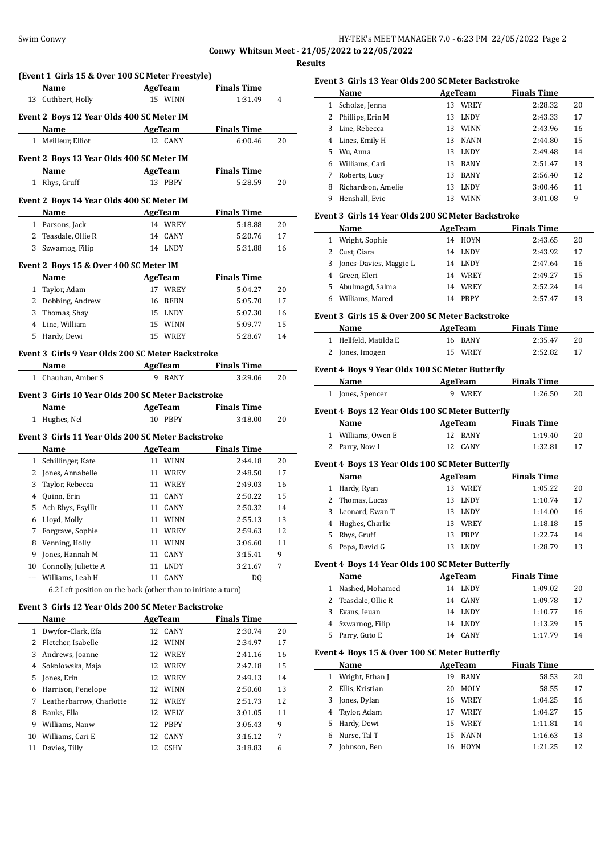**Results**

ш.

|                |                                                               |                                 |                               | <u>nes</u> |
|----------------|---------------------------------------------------------------|---------------------------------|-------------------------------|------------|
|                | (Event 1 Girls 15 & Over 100 SC Meter Freestyle)              |                                 |                               |            |
|                | Name                                                          | AgeTeam                         | <b>Finals Time</b>            |            |
|                | 13 Cuthbert, Holly                                            | 15 WINN                         | 1:31.49                       | 4          |
|                |                                                               |                                 |                               |            |
|                | Event 2 Boys 12 Year Olds 400 SC Meter IM                     |                                 |                               |            |
|                | Name                                                          | <b>AgeTeam</b>                  | <b>Finals Time</b>            |            |
|                | 1 Meilleur, Elliot                                            | 12 CANY                         | 6:00.46                       | 20         |
|                | Event 2 Boys 13 Year Olds 400 SC Meter IM                     |                                 |                               |            |
|                | Name                                                          | AgeTeam                         | <b>Finals Time</b>            |            |
|                | 1 Rhys, Gruff                                                 | 13 PBPY                         | 5:28.59                       | 20         |
|                | Event 2 Boys 14 Year Olds 400 SC Meter IM                     |                                 |                               |            |
|                | Name                                                          | AgeTeam                         | <b>Finals Time</b>            |            |
|                | 1 Parsons, Jack                                               | 14 WREY                         | 5:18.88                       | 20         |
| $\overline{2}$ | Teasdale, Ollie R                                             | 14 CANY                         | 5:20.76                       | 17         |
| 3              | Szwarnog, Filip                                               | 14 LNDY                         | 5:31.88                       | 16         |
|                |                                                               |                                 |                               |            |
|                | Event 2 Boys 15 & Over 400 SC Meter IM                        |                                 |                               |            |
|                | <b>Name</b>                                                   | AgeTeam                         | <b>Finals Time</b>            |            |
| $\mathbf{1}$   | Taylor, Adam                                                  | 17 WREY                         | 5:04.27                       | 20         |
|                | 2 Dobbing, Andrew                                             | 16 BEBN                         | 5:05.70                       | 17         |
|                | 3 Thomas, Shay                                                | 15 LNDY                         | 5:07.30                       | 16         |
| 4              | Line, William                                                 | 15 WINN                         | 5:09.77                       | 15         |
|                | 5 Hardy, Dewi                                                 | 15 WREY                         | 5:28.67                       | 14         |
|                | Event 3 Girls 9 Year Olds 200 SC Meter Backstroke             |                                 |                               |            |
|                | Name                                                          | <b>AgeTeam</b>                  | <b>Finals Time</b>            |            |
|                | 1 Chauhan, Amber S                                            | 9 BANY                          | 3:29.06                       | 20         |
|                | Name<br>1 Hughes, Nel                                         | AgeTeam<br>10 PBPY              | <b>Finals Time</b><br>3:18.00 | 20         |
|                | Event 3 Girls 11 Year Olds 200 SC Meter Backstroke            |                                 |                               |            |
|                | Name                                                          | AgeTeam                         | Finals Time                   |            |
| $\mathbf{1}$   | Schillinger, Kate                                             | 11 WINN                         | 2:44.18                       | 20         |
| $\overline{2}$ | Jones, Annabelle                                              | 11 WREY                         | 2:48.50                       | 17         |
| 3              | Taylor, Rebecca                                               | 11 WREY                         | 2:49.03                       | 16         |
| 4              | Quinn, Erin                                                   | 11 CANY                         | 2:50.22                       | 15         |
|                | 5 Ach Rhys, Esylllt                                           | 11 CANY                         | 2:50.32                       | 14         |
|                | 6 Lloyd, Molly                                                | 11 WINN                         | 2:55.13                       | 13         |
| 7              | Forgrave, Sophie                                              | 11 WREY                         | 2:59.63                       | 12         |
| 8              | Venning, Holly                                                | 11<br>WINN                      | 3:06.60                       | 11         |
| 9              | Jones, Hannah M                                               | 11<br>CANY                      | 3:15.41                       | 9          |
| 10             | Connolly, Juliette A                                          | 11<br>LNDY                      | 3:21.67                       | 7          |
| $---$          | Williams, Leah H                                              | 11 CANY                         | DQ                            |            |
|                | 6.2 Left position on the back (other than to initiate a turn) |                                 |                               |            |
|                | Event 3 Girls 12 Year Olds 200 SC Meter Backstroke            |                                 |                               |            |
|                |                                                               |                                 |                               |            |
|                | Name                                                          | <b>AgeTeam</b>                  | <b>Finals Time</b>            |            |
| $\mathbf{1}$   | Dwyfor-Clark, Efa                                             | CANY<br>12                      | 2:30.74                       | 20         |
| 2              | Fletcher, Isabelle                                            | 12<br>WINN                      | 2:34.97                       | 17<br>16   |
| 3              | Andrews, Joanne                                               | 12 WREY                         | 2:41.16                       |            |
| 4              | Sokolowska, Maja                                              |                                 |                               |            |
|                |                                                               | 12 WREY                         | 2:47.18                       | 15         |
| 5              | Jones, Erin                                                   | 12 WREY                         | 2:49.13                       | 14         |
| 6              | Harrison, Penelope                                            | 12 WINN                         | 2:50.60                       | 13         |
| 7              | Leatherbarrow, Charlotte                                      | 12 WREY                         | 2:51.73                       | 12         |
| 8              | Banks, Ella                                                   | 12 WELY                         | 3:01.05                       | 11         |
| 9              | Williams, Nanw                                                | 12 PBPY                         | 3:06.43                       | 9          |
| 10             | Williams, Cari E<br>11 Davies, Tilly                          | 12<br>CANY<br>12<br><b>CSHY</b> | 3:16.12<br>3:18.83            | 7<br>6     |

|    | Name               |    | AgeTeam     | <b>Finals Time</b> |    |
|----|--------------------|----|-------------|--------------------|----|
| 1  | Scholze, Jenna     | 13 | WREY        | 2:28.32            | 20 |
| 2  | Phillips, Erin M   | 13 | <b>LNDY</b> | 2:43.33            | 17 |
| 3  | Line, Rebecca      | 13 | <b>WINN</b> | 2:43.96            | 16 |
| 4  | Lines, Emily H     | 13 | <b>NANN</b> | 2:44.80            | 15 |
| 5. | Wu, Anna           | 13 | <b>LNDY</b> | 2:49.48            | 14 |
| 6  | Williams, Cari     | 13 | <b>BANY</b> | 2:51.47            | 13 |
| 7  | Roberts, Lucy      | 13 | <b>BANY</b> | 2:56.40            | 12 |
| 8  | Richardson, Amelie | 13 | <b>LNDY</b> | 3:00.46            | 11 |
| 9  | Henshall, Evie     | 13 | <b>WINN</b> | 3:01.08            | 9  |

#### **Event 3 Girls 14 Year Olds 200 SC Meter Backstroke**

|   | <b>Name</b>            | AgeTeam           | <b>Finals Time</b> |    |
|---|------------------------|-------------------|--------------------|----|
|   | Wright, Sophie         | HOYN<br>14        | 2:43.65            | 20 |
|   | Cust, Ciara            | LNDY<br>14        | 2:43.92            | 17 |
| 3 | Jones-Davies, Maggie L | LNDY<br>14        | 2.47.64            | 16 |
| 4 | Green, Eleri           | WREY<br>14        | 2:49.27            | 15 |
| 5 | Abulmagd, Salma        | WREY<br>14        | 2:52.24            | 14 |
|   | Williams, Mared        | <b>PRPY</b><br>14 | 2:57.47            | 13 |

#### **Event 3 Girls 15 & Over 200 SC Meter Backstroke**

| Name                  | AgeTeam | <b>Finals Time</b> |  |
|-----------------------|---------|--------------------|--|
| 1 Hellfeld, Matilda E | 16 BANY | 2:35.47<br>20      |  |
| 2 Jones, Imogen       | 15 WREY | 2:52.82<br>-17     |  |

# **Event 4 Boys 9 Year Olds 100 SC Meter Butterfly**

|                                                  | Name               | AgeTeam     | <b>Finals Time</b> |    |  |
|--------------------------------------------------|--------------------|-------------|--------------------|----|--|
|                                                  | 1 Jones, Spencer   | WREY        | 1:26.50            | 20 |  |
| Event 4 Boys 12 Year Olds 100 SC Meter Butterfly |                    |             |                    |    |  |
|                                                  | Name               | AgeTeam     | <b>Finals Time</b> |    |  |
|                                                  | 1 Williams, Owen E | BANY<br>12. | 1:19.40            | 20 |  |
|                                                  | Parry, Now I       | <b>CANY</b> | 1:32.81            | 17 |  |

#### **Event 4 Boys 13 Year Olds 100 SC Meter Butterfly**

|   | Name              |    | AgeTeam     | <b>Finals Time</b> |    |
|---|-------------------|----|-------------|--------------------|----|
| 1 | Hardy, Ryan       | 13 | WREY        | 1:05.22            | 20 |
|   | 2 Thomas, Lucas   |    | 13 LNDY     | 1:10.74            | 17 |
|   | 3 Leonard, Ewan T | 13 | LNDY        | 1:14.00            | 16 |
|   | 4 Hughes, Charlie | 13 | WREY        | 1:18.18            | 15 |
|   | 5 Rhys, Gruff     | 13 | <b>PBPY</b> | 1:22.74            | 14 |
|   | 6 Popa, David G   | 13 | <b>LNDY</b> | 1:28.79            | 13 |
|   |                   |    |             |                    |    |

#### **Event 4 Boys 14 Year Olds 100 SC Meter Butterfly**

| Name                 | AgeTeam           | <b>Finals Time</b> |    |
|----------------------|-------------------|--------------------|----|
| Nashed, Mohamed<br>1 | LNDY<br>14        | 1:09.02            | 20 |
| 2 Teasdale, Ollie R  | 14 CANY           | 1:09.78            | 17 |
| Evans, Ieuan<br>3    | 14 LNDY           | 1:10.77            | 16 |
| 4 Szwarnog, Filip    | 14 LNDY           | 1:13.29            | 15 |
| 5 Parry, Guto E      | <b>CANY</b><br>14 | 1:17.79            | 14 |

# **Event 4 Boys 15 & Over 100 SC Meter Butterfly**

|   | <b>Name</b>       | AgeTeam |             | <b>Finals Time</b> |    |
|---|-------------------|---------|-------------|--------------------|----|
|   | 1 Wright, Ethan J | 19      | <b>BANY</b> | 58.53              | 20 |
| 2 | Ellis, Kristian   | 20      | <b>MOLY</b> | 58.55              | 17 |
|   | 3 Jones, Dylan    |         | 16 WREY     | 1:04.25            | 16 |
|   | 4 Taylor, Adam    | 17      | <b>WREY</b> | 1:04.27            | 15 |
|   | 5 Hardy, Dewi     | 15.     | WREY        | 1:11.81            | 14 |
| 6 | Nurse, Tal T      | 15.     | NANN        | 1:16.63            | 13 |
|   | Johnson, Ben      | 16      | <b>HOYN</b> | 1:21.25            | 12 |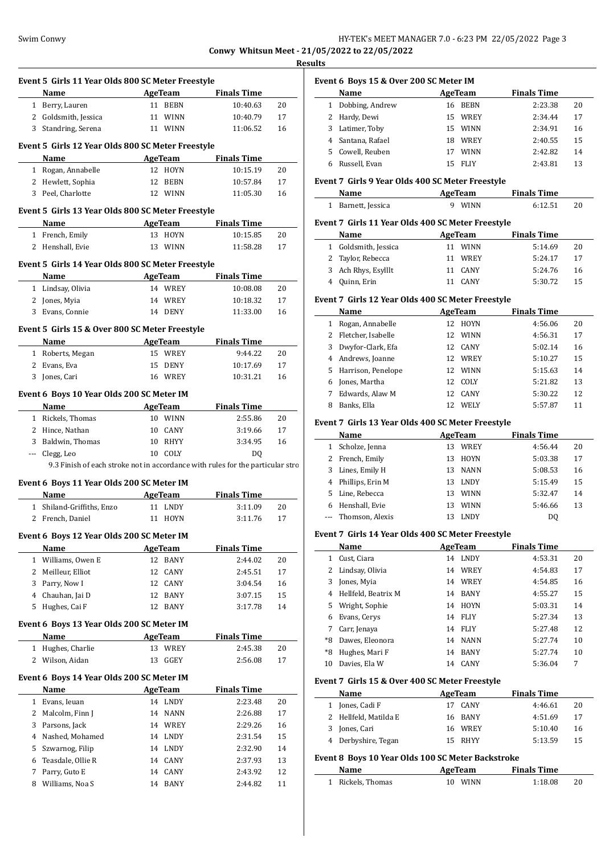# Swim Conwy HY-TEK's MEET MANAGER 7.0 - 6:23 PM 22/05/2022 Page 3

**Conwy Whitsun Meet - 21/05/2022 to 22/05/2022 Results**

| <b>AgeTeam</b><br><b>Finals Time</b><br>Name<br>11 BEBN<br>1 Berry, Lauren<br>10:40.63<br>20<br>2 Goldsmith, Jessica<br>11 WINN<br>10:40.79<br>17<br>3 Standring, Serena<br>11 WINN<br>11:06.52<br>16<br><b>Example 2018 AgeTeam</b><br><b>Finals Time</b><br>Name<br>1 Rogan, Annabelle<br>12 HOYN<br>10:15.19<br>20<br>2 Hewlett, Sophia<br>12 BEBN<br>10:57.84<br>17<br>3 Peel. Charlotte<br>12 WINN<br>11:05.30<br>16<br>AgeTeam Finals Time<br>Name<br>1 French, Emily<br>13 HOYN<br>10:15.85<br>20<br>2 Henshall, Evie<br>13 WINN<br>11:58.28<br>17<br><b>AgeTeam</b><br><b>Finals Time</b><br>Name<br>1 Lindsay, Olivia<br>14 WREY<br>10:08.08<br>20<br>2 Jones, Myia<br>14 WREY<br>10:18.32<br>17<br>3 Evans, Connie<br>14 DENY<br>11:33.00<br>16<br><b>Example 2</b> AgeTeam<br><b>Finals Time</b><br>Name<br>1 Roberts, Megan<br>15 WREY<br>9:44.22<br>20<br>2 Evans, Eva<br>10:17.69<br>17<br>15 DENY<br>3 Jones, Cari<br>16 WREY<br>10:31.21<br>16<br><b>Finals Time</b><br>Name<br><b>Example 2.1 AgeTeam</b> |                                                                                | Event 5 Girls 12 Year Olds 800 SC Meter Freestyle<br>Event 5 Girls 13 Year Olds 800 SC Meter Freestyle<br>Event 5 Girls 14 Year Olds 800 SC Meter Freestyle<br>Event 5 Girls 15 & Over 800 SC Meter Freestyle<br>Event 6 Boys 10 Year Olds 200 SC Meter IM<br>1 Rickels, Thomas<br>10 WINN<br>2:55.86<br>20<br>2 Hince, Nathan<br>10 CANY<br>17<br>3:19.66<br>3 Baldwin, Thomas<br>10 RHYY<br>16<br>3:34.95<br>10 COLY<br>--- Clegg, Leo<br>DO.<br>Event 6 Boys 11 Year Olds 200 SC Meter IM<br>AgeTeam<br>Name<br><b>Finals Time</b><br>1 Shiland-Griffiths, Enzo<br>11 LNDY<br>3:11.09<br>20<br>2 French, Daniel<br>11 HOYN<br>3:11.76<br>17<br>Event 6 Boys 12 Year Olds 200 SC Meter IM<br>Name<br>AgeTeam<br><b>Finals Time</b><br>12 BANY<br>2:44.02<br>1 Williams, Owen E<br>20<br>2 Meilleur, Elliot<br>12 CANY<br>2:45.51<br>17<br>Parry, Now I<br>12 CANY<br>3<br>3:04.54<br>16 | 4 Chauhan, Jai D<br>12 BANY<br>15<br>3:07.15 | 5 Hughes, Cai F<br>12 BANY<br>3:17.78<br>14 |
|----------------------------------------------------------------------------------------------------------------------------------------------------------------------------------------------------------------------------------------------------------------------------------------------------------------------------------------------------------------------------------------------------------------------------------------------------------------------------------------------------------------------------------------------------------------------------------------------------------------------------------------------------------------------------------------------------------------------------------------------------------------------------------------------------------------------------------------------------------------------------------------------------------------------------------------------------------------------------------------------------------------------------|--------------------------------------------------------------------------------|-------------------------------------------------------------------------------------------------------------------------------------------------------------------------------------------------------------------------------------------------------------------------------------------------------------------------------------------------------------------------------------------------------------------------------------------------------------------------------------------------------------------------------------------------------------------------------------------------------------------------------------------------------------------------------------------------------------------------------------------------------------------------------------------------------------------------------------------------------------------------------------------|----------------------------------------------|---------------------------------------------|
|                                                                                                                                                                                                                                                                                                                                                                                                                                                                                                                                                                                                                                                                                                                                                                                                                                                                                                                                                                                                                            |                                                                                |                                                                                                                                                                                                                                                                                                                                                                                                                                                                                                                                                                                                                                                                                                                                                                                                                                                                                           |                                              |                                             |
|                                                                                                                                                                                                                                                                                                                                                                                                                                                                                                                                                                                                                                                                                                                                                                                                                                                                                                                                                                                                                            |                                                                                |                                                                                                                                                                                                                                                                                                                                                                                                                                                                                                                                                                                                                                                                                                                                                                                                                                                                                           |                                              |                                             |
|                                                                                                                                                                                                                                                                                                                                                                                                                                                                                                                                                                                                                                                                                                                                                                                                                                                                                                                                                                                                                            |                                                                                |                                                                                                                                                                                                                                                                                                                                                                                                                                                                                                                                                                                                                                                                                                                                                                                                                                                                                           |                                              |                                             |
|                                                                                                                                                                                                                                                                                                                                                                                                                                                                                                                                                                                                                                                                                                                                                                                                                                                                                                                                                                                                                            |                                                                                |                                                                                                                                                                                                                                                                                                                                                                                                                                                                                                                                                                                                                                                                                                                                                                                                                                                                                           |                                              |                                             |
|                                                                                                                                                                                                                                                                                                                                                                                                                                                                                                                                                                                                                                                                                                                                                                                                                                                                                                                                                                                                                            |                                                                                |                                                                                                                                                                                                                                                                                                                                                                                                                                                                                                                                                                                                                                                                                                                                                                                                                                                                                           |                                              |                                             |
|                                                                                                                                                                                                                                                                                                                                                                                                                                                                                                                                                                                                                                                                                                                                                                                                                                                                                                                                                                                                                            |                                                                                |                                                                                                                                                                                                                                                                                                                                                                                                                                                                                                                                                                                                                                                                                                                                                                                                                                                                                           |                                              |                                             |
|                                                                                                                                                                                                                                                                                                                                                                                                                                                                                                                                                                                                                                                                                                                                                                                                                                                                                                                                                                                                                            |                                                                                |                                                                                                                                                                                                                                                                                                                                                                                                                                                                                                                                                                                                                                                                                                                                                                                                                                                                                           |                                              |                                             |
|                                                                                                                                                                                                                                                                                                                                                                                                                                                                                                                                                                                                                                                                                                                                                                                                                                                                                                                                                                                                                            |                                                                                |                                                                                                                                                                                                                                                                                                                                                                                                                                                                                                                                                                                                                                                                                                                                                                                                                                                                                           |                                              |                                             |
|                                                                                                                                                                                                                                                                                                                                                                                                                                                                                                                                                                                                                                                                                                                                                                                                                                                                                                                                                                                                                            |                                                                                |                                                                                                                                                                                                                                                                                                                                                                                                                                                                                                                                                                                                                                                                                                                                                                                                                                                                                           |                                              |                                             |
|                                                                                                                                                                                                                                                                                                                                                                                                                                                                                                                                                                                                                                                                                                                                                                                                                                                                                                                                                                                                                            |                                                                                |                                                                                                                                                                                                                                                                                                                                                                                                                                                                                                                                                                                                                                                                                                                                                                                                                                                                                           |                                              |                                             |
|                                                                                                                                                                                                                                                                                                                                                                                                                                                                                                                                                                                                                                                                                                                                                                                                                                                                                                                                                                                                                            |                                                                                |                                                                                                                                                                                                                                                                                                                                                                                                                                                                                                                                                                                                                                                                                                                                                                                                                                                                                           |                                              |                                             |
|                                                                                                                                                                                                                                                                                                                                                                                                                                                                                                                                                                                                                                                                                                                                                                                                                                                                                                                                                                                                                            |                                                                                |                                                                                                                                                                                                                                                                                                                                                                                                                                                                                                                                                                                                                                                                                                                                                                                                                                                                                           |                                              |                                             |
|                                                                                                                                                                                                                                                                                                                                                                                                                                                                                                                                                                                                                                                                                                                                                                                                                                                                                                                                                                                                                            |                                                                                |                                                                                                                                                                                                                                                                                                                                                                                                                                                                                                                                                                                                                                                                                                                                                                                                                                                                                           |                                              |                                             |
|                                                                                                                                                                                                                                                                                                                                                                                                                                                                                                                                                                                                                                                                                                                                                                                                                                                                                                                                                                                                                            |                                                                                |                                                                                                                                                                                                                                                                                                                                                                                                                                                                                                                                                                                                                                                                                                                                                                                                                                                                                           |                                              |                                             |
|                                                                                                                                                                                                                                                                                                                                                                                                                                                                                                                                                                                                                                                                                                                                                                                                                                                                                                                                                                                                                            |                                                                                |                                                                                                                                                                                                                                                                                                                                                                                                                                                                                                                                                                                                                                                                                                                                                                                                                                                                                           |                                              |                                             |
|                                                                                                                                                                                                                                                                                                                                                                                                                                                                                                                                                                                                                                                                                                                                                                                                                                                                                                                                                                                                                            |                                                                                |                                                                                                                                                                                                                                                                                                                                                                                                                                                                                                                                                                                                                                                                                                                                                                                                                                                                                           |                                              |                                             |
|                                                                                                                                                                                                                                                                                                                                                                                                                                                                                                                                                                                                                                                                                                                                                                                                                                                                                                                                                                                                                            |                                                                                |                                                                                                                                                                                                                                                                                                                                                                                                                                                                                                                                                                                                                                                                                                                                                                                                                                                                                           |                                              |                                             |
|                                                                                                                                                                                                                                                                                                                                                                                                                                                                                                                                                                                                                                                                                                                                                                                                                                                                                                                                                                                                                            |                                                                                |                                                                                                                                                                                                                                                                                                                                                                                                                                                                                                                                                                                                                                                                                                                                                                                                                                                                                           |                                              |                                             |
|                                                                                                                                                                                                                                                                                                                                                                                                                                                                                                                                                                                                                                                                                                                                                                                                                                                                                                                                                                                                                            |                                                                                |                                                                                                                                                                                                                                                                                                                                                                                                                                                                                                                                                                                                                                                                                                                                                                                                                                                                                           |                                              |                                             |
|                                                                                                                                                                                                                                                                                                                                                                                                                                                                                                                                                                                                                                                                                                                                                                                                                                                                                                                                                                                                                            |                                                                                |                                                                                                                                                                                                                                                                                                                                                                                                                                                                                                                                                                                                                                                                                                                                                                                                                                                                                           |                                              |                                             |
|                                                                                                                                                                                                                                                                                                                                                                                                                                                                                                                                                                                                                                                                                                                                                                                                                                                                                                                                                                                                                            |                                                                                |                                                                                                                                                                                                                                                                                                                                                                                                                                                                                                                                                                                                                                                                                                                                                                                                                                                                                           |                                              |                                             |
|                                                                                                                                                                                                                                                                                                                                                                                                                                                                                                                                                                                                                                                                                                                                                                                                                                                                                                                                                                                                                            |                                                                                |                                                                                                                                                                                                                                                                                                                                                                                                                                                                                                                                                                                                                                                                                                                                                                                                                                                                                           |                                              |                                             |
|                                                                                                                                                                                                                                                                                                                                                                                                                                                                                                                                                                                                                                                                                                                                                                                                                                                                                                                                                                                                                            |                                                                                |                                                                                                                                                                                                                                                                                                                                                                                                                                                                                                                                                                                                                                                                                                                                                                                                                                                                                           |                                              |                                             |
|                                                                                                                                                                                                                                                                                                                                                                                                                                                                                                                                                                                                                                                                                                                                                                                                                                                                                                                                                                                                                            |                                                                                |                                                                                                                                                                                                                                                                                                                                                                                                                                                                                                                                                                                                                                                                                                                                                                                                                                                                                           |                                              |                                             |
|                                                                                                                                                                                                                                                                                                                                                                                                                                                                                                                                                                                                                                                                                                                                                                                                                                                                                                                                                                                                                            |                                                                                |                                                                                                                                                                                                                                                                                                                                                                                                                                                                                                                                                                                                                                                                                                                                                                                                                                                                                           |                                              |                                             |
|                                                                                                                                                                                                                                                                                                                                                                                                                                                                                                                                                                                                                                                                                                                                                                                                                                                                                                                                                                                                                            |                                                                                |                                                                                                                                                                                                                                                                                                                                                                                                                                                                                                                                                                                                                                                                                                                                                                                                                                                                                           |                                              |                                             |
|                                                                                                                                                                                                                                                                                                                                                                                                                                                                                                                                                                                                                                                                                                                                                                                                                                                                                                                                                                                                                            |                                                                                |                                                                                                                                                                                                                                                                                                                                                                                                                                                                                                                                                                                                                                                                                                                                                                                                                                                                                           |                                              |                                             |
|                                                                                                                                                                                                                                                                                                                                                                                                                                                                                                                                                                                                                                                                                                                                                                                                                                                                                                                                                                                                                            |                                                                                |                                                                                                                                                                                                                                                                                                                                                                                                                                                                                                                                                                                                                                                                                                                                                                                                                                                                                           |                                              |                                             |
|                                                                                                                                                                                                                                                                                                                                                                                                                                                                                                                                                                                                                                                                                                                                                                                                                                                                                                                                                                                                                            |                                                                                |                                                                                                                                                                                                                                                                                                                                                                                                                                                                                                                                                                                                                                                                                                                                                                                                                                                                                           |                                              |                                             |
|                                                                                                                                                                                                                                                                                                                                                                                                                                                                                                                                                                                                                                                                                                                                                                                                                                                                                                                                                                                                                            |                                                                                |                                                                                                                                                                                                                                                                                                                                                                                                                                                                                                                                                                                                                                                                                                                                                                                                                                                                                           |                                              |                                             |
|                                                                                                                                                                                                                                                                                                                                                                                                                                                                                                                                                                                                                                                                                                                                                                                                                                                                                                                                                                                                                            | 9.3 Finish of each stroke not in accordance with rules for the particular stro |                                                                                                                                                                                                                                                                                                                                                                                                                                                                                                                                                                                                                                                                                                                                                                                                                                                                                           |                                              |                                             |
|                                                                                                                                                                                                                                                                                                                                                                                                                                                                                                                                                                                                                                                                                                                                                                                                                                                                                                                                                                                                                            |                                                                                |                                                                                                                                                                                                                                                                                                                                                                                                                                                                                                                                                                                                                                                                                                                                                                                                                                                                                           |                                              |                                             |
|                                                                                                                                                                                                                                                                                                                                                                                                                                                                                                                                                                                                                                                                                                                                                                                                                                                                                                                                                                                                                            |                                                                                |                                                                                                                                                                                                                                                                                                                                                                                                                                                                                                                                                                                                                                                                                                                                                                                                                                                                                           |                                              |                                             |
|                                                                                                                                                                                                                                                                                                                                                                                                                                                                                                                                                                                                                                                                                                                                                                                                                                                                                                                                                                                                                            |                                                                                |                                                                                                                                                                                                                                                                                                                                                                                                                                                                                                                                                                                                                                                                                                                                                                                                                                                                                           |                                              |                                             |
|                                                                                                                                                                                                                                                                                                                                                                                                                                                                                                                                                                                                                                                                                                                                                                                                                                                                                                                                                                                                                            |                                                                                |                                                                                                                                                                                                                                                                                                                                                                                                                                                                                                                                                                                                                                                                                                                                                                                                                                                                                           |                                              |                                             |
|                                                                                                                                                                                                                                                                                                                                                                                                                                                                                                                                                                                                                                                                                                                                                                                                                                                                                                                                                                                                                            |                                                                                |                                                                                                                                                                                                                                                                                                                                                                                                                                                                                                                                                                                                                                                                                                                                                                                                                                                                                           |                                              |                                             |
|                                                                                                                                                                                                                                                                                                                                                                                                                                                                                                                                                                                                                                                                                                                                                                                                                                                                                                                                                                                                                            |                                                                                |                                                                                                                                                                                                                                                                                                                                                                                                                                                                                                                                                                                                                                                                                                                                                                                                                                                                                           |                                              |                                             |
|                                                                                                                                                                                                                                                                                                                                                                                                                                                                                                                                                                                                                                                                                                                                                                                                                                                                                                                                                                                                                            |                                                                                |                                                                                                                                                                                                                                                                                                                                                                                                                                                                                                                                                                                                                                                                                                                                                                                                                                                                                           |                                              |                                             |
|                                                                                                                                                                                                                                                                                                                                                                                                                                                                                                                                                                                                                                                                                                                                                                                                                                                                                                                                                                                                                            |                                                                                |                                                                                                                                                                                                                                                                                                                                                                                                                                                                                                                                                                                                                                                                                                                                                                                                                                                                                           |                                              |                                             |
|                                                                                                                                                                                                                                                                                                                                                                                                                                                                                                                                                                                                                                                                                                                                                                                                                                                                                                                                                                                                                            |                                                                                |                                                                                                                                                                                                                                                                                                                                                                                                                                                                                                                                                                                                                                                                                                                                                                                                                                                                                           |                                              |                                             |
|                                                                                                                                                                                                                                                                                                                                                                                                                                                                                                                                                                                                                                                                                                                                                                                                                                                                                                                                                                                                                            |                                                                                |                                                                                                                                                                                                                                                                                                                                                                                                                                                                                                                                                                                                                                                                                                                                                                                                                                                                                           |                                              |                                             |
|                                                                                                                                                                                                                                                                                                                                                                                                                                                                                                                                                                                                                                                                                                                                                                                                                                                                                                                                                                                                                            |                                                                                |                                                                                                                                                                                                                                                                                                                                                                                                                                                                                                                                                                                                                                                                                                                                                                                                                                                                                           |                                              |                                             |
|                                                                                                                                                                                                                                                                                                                                                                                                                                                                                                                                                                                                                                                                                                                                                                                                                                                                                                                                                                                                                            |                                                                                |                                                                                                                                                                                                                                                                                                                                                                                                                                                                                                                                                                                                                                                                                                                                                                                                                                                                                           |                                              |                                             |
|                                                                                                                                                                                                                                                                                                                                                                                                                                                                                                                                                                                                                                                                                                                                                                                                                                                                                                                                                                                                                            |                                                                                | Event 6 Boys 13 Year Olds 200 SC Meter IM                                                                                                                                                                                                                                                                                                                                                                                                                                                                                                                                                                                                                                                                                                                                                                                                                                                 |                                              |                                             |
| AgeTeam<br><b>Finals Time</b><br>Name<br>20                                                                                                                                                                                                                                                                                                                                                                                                                                                                                                                                                                                                                                                                                                                                                                                                                                                                                                                                                                                |                                                                                |                                                                                                                                                                                                                                                                                                                                                                                                                                                                                                                                                                                                                                                                                                                                                                                                                                                                                           |                                              |                                             |
| 1 Hughes, Charlie<br>13 WREY<br>2:45.38<br>2 Wilson, Aidan<br>13 GGEY<br>2:56.08<br>17                                                                                                                                                                                                                                                                                                                                                                                                                                                                                                                                                                                                                                                                                                                                                                                                                                                                                                                                     |                                                                                |                                                                                                                                                                                                                                                                                                                                                                                                                                                                                                                                                                                                                                                                                                                                                                                                                                                                                           |                                              |                                             |
|                                                                                                                                                                                                                                                                                                                                                                                                                                                                                                                                                                                                                                                                                                                                                                                                                                                                                                                                                                                                                            |                                                                                |                                                                                                                                                                                                                                                                                                                                                                                                                                                                                                                                                                                                                                                                                                                                                                                                                                                                                           |                                              |                                             |
|                                                                                                                                                                                                                                                                                                                                                                                                                                                                                                                                                                                                                                                                                                                                                                                                                                                                                                                                                                                                                            |                                                                                | Event 6 Boys 14 Year Olds 200 SC Meter IM                                                                                                                                                                                                                                                                                                                                                                                                                                                                                                                                                                                                                                                                                                                                                                                                                                                 |                                              |                                             |
| <b>AgeTeam</b><br><b>Finals Time</b><br>Name                                                                                                                                                                                                                                                                                                                                                                                                                                                                                                                                                                                                                                                                                                                                                                                                                                                                                                                                                                               |                                                                                |                                                                                                                                                                                                                                                                                                                                                                                                                                                                                                                                                                                                                                                                                                                                                                                                                                                                                           |                                              |                                             |
| 14 LNDY<br>1 Evans, Ieuan<br>2:23.48<br>20                                                                                                                                                                                                                                                                                                                                                                                                                                                                                                                                                                                                                                                                                                                                                                                                                                                                                                                                                                                 |                                                                                |                                                                                                                                                                                                                                                                                                                                                                                                                                                                                                                                                                                                                                                                                                                                                                                                                                                                                           |                                              |                                             |
| 2<br>Malcolm, Finn J<br>14 NANN<br>2:26.88<br>17                                                                                                                                                                                                                                                                                                                                                                                                                                                                                                                                                                                                                                                                                                                                                                                                                                                                                                                                                                           |                                                                                |                                                                                                                                                                                                                                                                                                                                                                                                                                                                                                                                                                                                                                                                                                                                                                                                                                                                                           |                                              |                                             |
| 3 Parsons, Jack<br>14 WREY<br>2:29.26<br>16                                                                                                                                                                                                                                                                                                                                                                                                                                                                                                                                                                                                                                                                                                                                                                                                                                                                                                                                                                                |                                                                                |                                                                                                                                                                                                                                                                                                                                                                                                                                                                                                                                                                                                                                                                                                                                                                                                                                                                                           |                                              |                                             |
| Nashed, Mohamed<br>14 LNDY<br>4<br>2:31.54<br>15                                                                                                                                                                                                                                                                                                                                                                                                                                                                                                                                                                                                                                                                                                                                                                                                                                                                                                                                                                           |                                                                                |                                                                                                                                                                                                                                                                                                                                                                                                                                                                                                                                                                                                                                                                                                                                                                                                                                                                                           |                                              |                                             |
| Szwarnog, Filip<br>14 LNDY<br>2:32.90<br>14<br>5                                                                                                                                                                                                                                                                                                                                                                                                                                                                                                                                                                                                                                                                                                                                                                                                                                                                                                                                                                           |                                                                                |                                                                                                                                                                                                                                                                                                                                                                                                                                                                                                                                                                                                                                                                                                                                                                                                                                                                                           |                                              |                                             |
| Teasdale, Ollie R<br>14 CANY<br>2:37.93<br>13<br>6<br>Parry, Guto E<br>14 CANY<br>12<br>7<br>2:43.92                                                                                                                                                                                                                                                                                                                                                                                                                                                                                                                                                                                                                                                                                                                                                                                                                                                                                                                       |                                                                                |                                                                                                                                                                                                                                                                                                                                                                                                                                                                                                                                                                                                                                                                                                                                                                                                                                                                                           |                                              |                                             |
|                                                                                                                                                                                                                                                                                                                                                                                                                                                                                                                                                                                                                                                                                                                                                                                                                                                                                                                                                                                                                            |                                                                                |                                                                                                                                                                                                                                                                                                                                                                                                                                                                                                                                                                                                                                                                                                                                                                                                                                                                                           |                                              |                                             |
|                                                                                                                                                                                                                                                                                                                                                                                                                                                                                                                                                                                                                                                                                                                                                                                                                                                                                                                                                                                                                            |                                                                                |                                                                                                                                                                                                                                                                                                                                                                                                                                                                                                                                                                                                                                                                                                                                                                                                                                                                                           |                                              |                                             |
|                                                                                                                                                                                                                                                                                                                                                                                                                                                                                                                                                                                                                                                                                                                                                                                                                                                                                                                                                                                                                            |                                                                                |                                                                                                                                                                                                                                                                                                                                                                                                                                                                                                                                                                                                                                                                                                                                                                                                                                                                                           |                                              |                                             |
|                                                                                                                                                                                                                                                                                                                                                                                                                                                                                                                                                                                                                                                                                                                                                                                                                                                                                                                                                                                                                            |                                                                                |                                                                                                                                                                                                                                                                                                                                                                                                                                                                                                                                                                                                                                                                                                                                                                                                                                                                                           |                                              |                                             |
|                                                                                                                                                                                                                                                                                                                                                                                                                                                                                                                                                                                                                                                                                                                                                                                                                                                                                                                                                                                                                            |                                                                                |                                                                                                                                                                                                                                                                                                                                                                                                                                                                                                                                                                                                                                                                                                                                                                                                                                                                                           |                                              |                                             |
|                                                                                                                                                                                                                                                                                                                                                                                                                                                                                                                                                                                                                                                                                                                                                                                                                                                                                                                                                                                                                            |                                                                                |                                                                                                                                                                                                                                                                                                                                                                                                                                                                                                                                                                                                                                                                                                                                                                                                                                                                                           |                                              |                                             |
|                                                                                                                                                                                                                                                                                                                                                                                                                                                                                                                                                                                                                                                                                                                                                                                                                                                                                                                                                                                                                            |                                                                                |                                                                                                                                                                                                                                                                                                                                                                                                                                                                                                                                                                                                                                                                                                                                                                                                                                                                                           |                                              |                                             |
|                                                                                                                                                                                                                                                                                                                                                                                                                                                                                                                                                                                                                                                                                                                                                                                                                                                                                                                                                                                                                            |                                                                                |                                                                                                                                                                                                                                                                                                                                                                                                                                                                                                                                                                                                                                                                                                                                                                                                                                                                                           |                                              |                                             |
|                                                                                                                                                                                                                                                                                                                                                                                                                                                                                                                                                                                                                                                                                                                                                                                                                                                                                                                                                                                                                            |                                                                                |                                                                                                                                                                                                                                                                                                                                                                                                                                                                                                                                                                                                                                                                                                                                                                                                                                                                                           |                                              |                                             |
|                                                                                                                                                                                                                                                                                                                                                                                                                                                                                                                                                                                                                                                                                                                                                                                                                                                                                                                                                                                                                            |                                                                                |                                                                                                                                                                                                                                                                                                                                                                                                                                                                                                                                                                                                                                                                                                                                                                                                                                                                                           |                                              |                                             |
|                                                                                                                                                                                                                                                                                                                                                                                                                                                                                                                                                                                                                                                                                                                                                                                                                                                                                                                                                                                                                            |                                                                                |                                                                                                                                                                                                                                                                                                                                                                                                                                                                                                                                                                                                                                                                                                                                                                                                                                                                                           |                                              |                                             |
|                                                                                                                                                                                                                                                                                                                                                                                                                                                                                                                                                                                                                                                                                                                                                                                                                                                                                                                                                                                                                            |                                                                                |                                                                                                                                                                                                                                                                                                                                                                                                                                                                                                                                                                                                                                                                                                                                                                                                                                                                                           |                                              |                                             |
|                                                                                                                                                                                                                                                                                                                                                                                                                                                                                                                                                                                                                                                                                                                                                                                                                                                                                                                                                                                                                            |                                                                                |                                                                                                                                                                                                                                                                                                                                                                                                                                                                                                                                                                                                                                                                                                                                                                                                                                                                                           |                                              |                                             |
|                                                                                                                                                                                                                                                                                                                                                                                                                                                                                                                                                                                                                                                                                                                                                                                                                                                                                                                                                                                                                            |                                                                                |                                                                                                                                                                                                                                                                                                                                                                                                                                                                                                                                                                                                                                                                                                                                                                                                                                                                                           |                                              |                                             |
|                                                                                                                                                                                                                                                                                                                                                                                                                                                                                                                                                                                                                                                                                                                                                                                                                                                                                                                                                                                                                            |                                                                                |                                                                                                                                                                                                                                                                                                                                                                                                                                                                                                                                                                                                                                                                                                                                                                                                                                                                                           |                                              |                                             |
|                                                                                                                                                                                                                                                                                                                                                                                                                                                                                                                                                                                                                                                                                                                                                                                                                                                                                                                                                                                                                            |                                                                                |                                                                                                                                                                                                                                                                                                                                                                                                                                                                                                                                                                                                                                                                                                                                                                                                                                                                                           |                                              |                                             |
|                                                                                                                                                                                                                                                                                                                                                                                                                                                                                                                                                                                                                                                                                                                                                                                                                                                                                                                                                                                                                            |                                                                                |                                                                                                                                                                                                                                                                                                                                                                                                                                                                                                                                                                                                                                                                                                                                                                                                                                                                                           |                                              |                                             |
|                                                                                                                                                                                                                                                                                                                                                                                                                                                                                                                                                                                                                                                                                                                                                                                                                                                                                                                                                                                                                            |                                                                                |                                                                                                                                                                                                                                                                                                                                                                                                                                                                                                                                                                                                                                                                                                                                                                                                                                                                                           |                                              |                                             |
|                                                                                                                                                                                                                                                                                                                                                                                                                                                                                                                                                                                                                                                                                                                                                                                                                                                                                                                                                                                                                            |                                                                                |                                                                                                                                                                                                                                                                                                                                                                                                                                                                                                                                                                                                                                                                                                                                                                                                                                                                                           |                                              |                                             |
|                                                                                                                                                                                                                                                                                                                                                                                                                                                                                                                                                                                                                                                                                                                                                                                                                                                                                                                                                                                                                            |                                                                                |                                                                                                                                                                                                                                                                                                                                                                                                                                                                                                                                                                                                                                                                                                                                                                                                                                                                                           |                                              |                                             |
|                                                                                                                                                                                                                                                                                                                                                                                                                                                                                                                                                                                                                                                                                                                                                                                                                                                                                                                                                                                                                            |                                                                                |                                                                                                                                                                                                                                                                                                                                                                                                                                                                                                                                                                                                                                                                                                                                                                                                                                                                                           |                                              |                                             |
|                                                                                                                                                                                                                                                                                                                                                                                                                                                                                                                                                                                                                                                                                                                                                                                                                                                                                                                                                                                                                            |                                                                                |                                                                                                                                                                                                                                                                                                                                                                                                                                                                                                                                                                                                                                                                                                                                                                                                                                                                                           |                                              |                                             |
|                                                                                                                                                                                                                                                                                                                                                                                                                                                                                                                                                                                                                                                                                                                                                                                                                                                                                                                                                                                                                            |                                                                                |                                                                                                                                                                                                                                                                                                                                                                                                                                                                                                                                                                                                                                                                                                                                                                                                                                                                                           |                                              |                                             |
|                                                                                                                                                                                                                                                                                                                                                                                                                                                                                                                                                                                                                                                                                                                                                                                                                                                                                                                                                                                                                            |                                                                                |                                                                                                                                                                                                                                                                                                                                                                                                                                                                                                                                                                                                                                                                                                                                                                                                                                                                                           |                                              |                                             |
|                                                                                                                                                                                                                                                                                                                                                                                                                                                                                                                                                                                                                                                                                                                                                                                                                                                                                                                                                                                                                            |                                                                                |                                                                                                                                                                                                                                                                                                                                                                                                                                                                                                                                                                                                                                                                                                                                                                                                                                                                                           |                                              |                                             |
|                                                                                                                                                                                                                                                                                                                                                                                                                                                                                                                                                                                                                                                                                                                                                                                                                                                                                                                                                                                                                            |                                                                                |                                                                                                                                                                                                                                                                                                                                                                                                                                                                                                                                                                                                                                                                                                                                                                                                                                                                                           |                                              |                                             |
|                                                                                                                                                                                                                                                                                                                                                                                                                                                                                                                                                                                                                                                                                                                                                                                                                                                                                                                                                                                                                            |                                                                                |                                                                                                                                                                                                                                                                                                                                                                                                                                                                                                                                                                                                                                                                                                                                                                                                                                                                                           |                                              |                                             |
|                                                                                                                                                                                                                                                                                                                                                                                                                                                                                                                                                                                                                                                                                                                                                                                                                                                                                                                                                                                                                            |                                                                                |                                                                                                                                                                                                                                                                                                                                                                                                                                                                                                                                                                                                                                                                                                                                                                                                                                                                                           |                                              |                                             |
|                                                                                                                                                                                                                                                                                                                                                                                                                                                                                                                                                                                                                                                                                                                                                                                                                                                                                                                                                                                                                            |                                                                                |                                                                                                                                                                                                                                                                                                                                                                                                                                                                                                                                                                                                                                                                                                                                                                                                                                                                                           |                                              |                                             |
|                                                                                                                                                                                                                                                                                                                                                                                                                                                                                                                                                                                                                                                                                                                                                                                                                                                                                                                                                                                                                            |                                                                                |                                                                                                                                                                                                                                                                                                                                                                                                                                                                                                                                                                                                                                                                                                                                                                                                                                                                                           |                                              |                                             |
|                                                                                                                                                                                                                                                                                                                                                                                                                                                                                                                                                                                                                                                                                                                                                                                                                                                                                                                                                                                                                            |                                                                                |                                                                                                                                                                                                                                                                                                                                                                                                                                                                                                                                                                                                                                                                                                                                                                                                                                                                                           |                                              |                                             |
|                                                                                                                                                                                                                                                                                                                                                                                                                                                                                                                                                                                                                                                                                                                                                                                                                                                                                                                                                                                                                            |                                                                                |                                                                                                                                                                                                                                                                                                                                                                                                                                                                                                                                                                                                                                                                                                                                                                                                                                                                                           |                                              |                                             |
|                                                                                                                                                                                                                                                                                                                                                                                                                                                                                                                                                                                                                                                                                                                                                                                                                                                                                                                                                                                                                            |                                                                                |                                                                                                                                                                                                                                                                                                                                                                                                                                                                                                                                                                                                                                                                                                                                                                                                                                                                                           |                                              |                                             |
|                                                                                                                                                                                                                                                                                                                                                                                                                                                                                                                                                                                                                                                                                                                                                                                                                                                                                                                                                                                                                            |                                                                                |                                                                                                                                                                                                                                                                                                                                                                                                                                                                                                                                                                                                                                                                                                                                                                                                                                                                                           |                                              |                                             |
|                                                                                                                                                                                                                                                                                                                                                                                                                                                                                                                                                                                                                                                                                                                                                                                                                                                                                                                                                                                                                            |                                                                                |                                                                                                                                                                                                                                                                                                                                                                                                                                                                                                                                                                                                                                                                                                                                                                                                                                                                                           |                                              |                                             |
|                                                                                                                                                                                                                                                                                                                                                                                                                                                                                                                                                                                                                                                                                                                                                                                                                                                                                                                                                                                                                            |                                                                                |                                                                                                                                                                                                                                                                                                                                                                                                                                                                                                                                                                                                                                                                                                                                                                                                                                                                                           |                                              |                                             |
|                                                                                                                                                                                                                                                                                                                                                                                                                                                                                                                                                                                                                                                                                                                                                                                                                                                                                                                                                                                                                            |                                                                                |                                                                                                                                                                                                                                                                                                                                                                                                                                                                                                                                                                                                                                                                                                                                                                                                                                                                                           |                                              |                                             |
|                                                                                                                                                                                                                                                                                                                                                                                                                                                                                                                                                                                                                                                                                                                                                                                                                                                                                                                                                                                                                            |                                                                                |                                                                                                                                                                                                                                                                                                                                                                                                                                                                                                                                                                                                                                                                                                                                                                                                                                                                                           |                                              |                                             |
|                                                                                                                                                                                                                                                                                                                                                                                                                                                                                                                                                                                                                                                                                                                                                                                                                                                                                                                                                                                                                            |                                                                                |                                                                                                                                                                                                                                                                                                                                                                                                                                                                                                                                                                                                                                                                                                                                                                                                                                                                                           |                                              |                                             |
|                                                                                                                                                                                                                                                                                                                                                                                                                                                                                                                                                                                                                                                                                                                                                                                                                                                                                                                                                                                                                            |                                                                                |                                                                                                                                                                                                                                                                                                                                                                                                                                                                                                                                                                                                                                                                                                                                                                                                                                                                                           |                                              |                                             |
|                                                                                                                                                                                                                                                                                                                                                                                                                                                                                                                                                                                                                                                                                                                                                                                                                                                                                                                                                                                                                            |                                                                                |                                                                                                                                                                                                                                                                                                                                                                                                                                                                                                                                                                                                                                                                                                                                                                                                                                                                                           |                                              |                                             |
|                                                                                                                                                                                                                                                                                                                                                                                                                                                                                                                                                                                                                                                                                                                                                                                                                                                                                                                                                                                                                            |                                                                                |                                                                                                                                                                                                                                                                                                                                                                                                                                                                                                                                                                                                                                                                                                                                                                                                                                                                                           |                                              |                                             |
|                                                                                                                                                                                                                                                                                                                                                                                                                                                                                                                                                                                                                                                                                                                                                                                                                                                                                                                                                                                                                            |                                                                                |                                                                                                                                                                                                                                                                                                                                                                                                                                                                                                                                                                                                                                                                                                                                                                                                                                                                                           |                                              |                                             |
|                                                                                                                                                                                                                                                                                                                                                                                                                                                                                                                                                                                                                                                                                                                                                                                                                                                                                                                                                                                                                            |                                                                                |                                                                                                                                                                                                                                                                                                                                                                                                                                                                                                                                                                                                                                                                                                                                                                                                                                                                                           |                                              |                                             |
|                                                                                                                                                                                                                                                                                                                                                                                                                                                                                                                                                                                                                                                                                                                                                                                                                                                                                                                                                                                                                            |                                                                                |                                                                                                                                                                                                                                                                                                                                                                                                                                                                                                                                                                                                                                                                                                                                                                                                                                                                                           |                                              |                                             |
|                                                                                                                                                                                                                                                                                                                                                                                                                                                                                                                                                                                                                                                                                                                                                                                                                                                                                                                                                                                                                            |                                                                                |                                                                                                                                                                                                                                                                                                                                                                                                                                                                                                                                                                                                                                                                                                                                                                                                                                                                                           |                                              |                                             |
|                                                                                                                                                                                                                                                                                                                                                                                                                                                                                                                                                                                                                                                                                                                                                                                                                                                                                                                                                                                                                            |                                                                                |                                                                                                                                                                                                                                                                                                                                                                                                                                                                                                                                                                                                                                                                                                                                                                                                                                                                                           |                                              |                                             |
|                                                                                                                                                                                                                                                                                                                                                                                                                                                                                                                                                                                                                                                                                                                                                                                                                                                                                                                                                                                                                            |                                                                                |                                                                                                                                                                                                                                                                                                                                                                                                                                                                                                                                                                                                                                                                                                                                                                                                                                                                                           |                                              |                                             |
|                                                                                                                                                                                                                                                                                                                                                                                                                                                                                                                                                                                                                                                                                                                                                                                                                                                                                                                                                                                                                            |                                                                                |                                                                                                                                                                                                                                                                                                                                                                                                                                                                                                                                                                                                                                                                                                                                                                                                                                                                                           |                                              |                                             |
|                                                                                                                                                                                                                                                                                                                                                                                                                                                                                                                                                                                                                                                                                                                                                                                                                                                                                                                                                                                                                            |                                                                                |                                                                                                                                                                                                                                                                                                                                                                                                                                                                                                                                                                                                                                                                                                                                                                                                                                                                                           |                                              |                                             |
|                                                                                                                                                                                                                                                                                                                                                                                                                                                                                                                                                                                                                                                                                                                                                                                                                                                                                                                                                                                                                            |                                                                                |                                                                                                                                                                                                                                                                                                                                                                                                                                                                                                                                                                                                                                                                                                                                                                                                                                                                                           |                                              |                                             |
|                                                                                                                                                                                                                                                                                                                                                                                                                                                                                                                                                                                                                                                                                                                                                                                                                                                                                                                                                                                                                            |                                                                                |                                                                                                                                                                                                                                                                                                                                                                                                                                                                                                                                                                                                                                                                                                                                                                                                                                                                                           |                                              |                                             |
|                                                                                                                                                                                                                                                                                                                                                                                                                                                                                                                                                                                                                                                                                                                                                                                                                                                                                                                                                                                                                            |                                                                                |                                                                                                                                                                                                                                                                                                                                                                                                                                                                                                                                                                                                                                                                                                                                                                                                                                                                                           |                                              |                                             |
|                                                                                                                                                                                                                                                                                                                                                                                                                                                                                                                                                                                                                                                                                                                                                                                                                                                                                                                                                                                                                            |                                                                                |                                                                                                                                                                                                                                                                                                                                                                                                                                                                                                                                                                                                                                                                                                                                                                                                                                                                                           |                                              |                                             |
|                                                                                                                                                                                                                                                                                                                                                                                                                                                                                                                                                                                                                                                                                                                                                                                                                                                                                                                                                                                                                            |                                                                                |                                                                                                                                                                                                                                                                                                                                                                                                                                                                                                                                                                                                                                                                                                                                                                                                                                                                                           |                                              |                                             |
|                                                                                                                                                                                                                                                                                                                                                                                                                                                                                                                                                                                                                                                                                                                                                                                                                                                                                                                                                                                                                            |                                                                                |                                                                                                                                                                                                                                                                                                                                                                                                                                                                                                                                                                                                                                                                                                                                                                                                                                                                                           |                                              |                                             |
|                                                                                                                                                                                                                                                                                                                                                                                                                                                                                                                                                                                                                                                                                                                                                                                                                                                                                                                                                                                                                            |                                                                                |                                                                                                                                                                                                                                                                                                                                                                                                                                                                                                                                                                                                                                                                                                                                                                                                                                                                                           |                                              |                                             |
|                                                                                                                                                                                                                                                                                                                                                                                                                                                                                                                                                                                                                                                                                                                                                                                                                                                                                                                                                                                                                            |                                                                                |                                                                                                                                                                                                                                                                                                                                                                                                                                                                                                                                                                                                                                                                                                                                                                                                                                                                                           |                                              |                                             |
|                                                                                                                                                                                                                                                                                                                                                                                                                                                                                                                                                                                                                                                                                                                                                                                                                                                                                                                                                                                                                            |                                                                                |                                                                                                                                                                                                                                                                                                                                                                                                                                                                                                                                                                                                                                                                                                                                                                                                                                                                                           |                                              |                                             |
|                                                                                                                                                                                                                                                                                                                                                                                                                                                                                                                                                                                                                                                                                                                                                                                                                                                                                                                                                                                                                            |                                                                                |                                                                                                                                                                                                                                                                                                                                                                                                                                                                                                                                                                                                                                                                                                                                                                                                                                                                                           |                                              |                                             |
|                                                                                                                                                                                                                                                                                                                                                                                                                                                                                                                                                                                                                                                                                                                                                                                                                                                                                                                                                                                                                            |                                                                                |                                                                                                                                                                                                                                                                                                                                                                                                                                                                                                                                                                                                                                                                                                                                                                                                                                                                                           |                                              |                                             |
|                                                                                                                                                                                                                                                                                                                                                                                                                                                                                                                                                                                                                                                                                                                                                                                                                                                                                                                                                                                                                            |                                                                                |                                                                                                                                                                                                                                                                                                                                                                                                                                                                                                                                                                                                                                                                                                                                                                                                                                                                                           |                                              |                                             |
|                                                                                                                                                                                                                                                                                                                                                                                                                                                                                                                                                                                                                                                                                                                                                                                                                                                                                                                                                                                                                            |                                                                                |                                                                                                                                                                                                                                                                                                                                                                                                                                                                                                                                                                                                                                                                                                                                                                                                                                                                                           |                                              |                                             |
|                                                                                                                                                                                                                                                                                                                                                                                                                                                                                                                                                                                                                                                                                                                                                                                                                                                                                                                                                                                                                            |                                                                                |                                                                                                                                                                                                                                                                                                                                                                                                                                                                                                                                                                                                                                                                                                                                                                                                                                                                                           |                                              |                                             |
|                                                                                                                                                                                                                                                                                                                                                                                                                                                                                                                                                                                                                                                                                                                                                                                                                                                                                                                                                                                                                            |                                                                                |                                                                                                                                                                                                                                                                                                                                                                                                                                                                                                                                                                                                                                                                                                                                                                                                                                                                                           |                                              |                                             |
|                                                                                                                                                                                                                                                                                                                                                                                                                                                                                                                                                                                                                                                                                                                                                                                                                                                                                                                                                                                                                            |                                                                                |                                                                                                                                                                                                                                                                                                                                                                                                                                                                                                                                                                                                                                                                                                                                                                                                                                                                                           |                                              |                                             |
|                                                                                                                                                                                                                                                                                                                                                                                                                                                                                                                                                                                                                                                                                                                                                                                                                                                                                                                                                                                                                            |                                                                                |                                                                                                                                                                                                                                                                                                                                                                                                                                                                                                                                                                                                                                                                                                                                                                                                                                                                                           |                                              |                                             |
|                                                                                                                                                                                                                                                                                                                                                                                                                                                                                                                                                                                                                                                                                                                                                                                                                                                                                                                                                                                                                            |                                                                                |                                                                                                                                                                                                                                                                                                                                                                                                                                                                                                                                                                                                                                                                                                                                                                                                                                                                                           |                                              |                                             |
|                                                                                                                                                                                                                                                                                                                                                                                                                                                                                                                                                                                                                                                                                                                                                                                                                                                                                                                                                                                                                            |                                                                                |                                                                                                                                                                                                                                                                                                                                                                                                                                                                                                                                                                                                                                                                                                                                                                                                                                                                                           |                                              |                                             |
|                                                                                                                                                                                                                                                                                                                                                                                                                                                                                                                                                                                                                                                                                                                                                                                                                                                                                                                                                                                                                            |                                                                                |                                                                                                                                                                                                                                                                                                                                                                                                                                                                                                                                                                                                                                                                                                                                                                                                                                                                                           |                                              |                                             |
|                                                                                                                                                                                                                                                                                                                                                                                                                                                                                                                                                                                                                                                                                                                                                                                                                                                                                                                                                                                                                            |                                                                                |                                                                                                                                                                                                                                                                                                                                                                                                                                                                                                                                                                                                                                                                                                                                                                                                                                                                                           |                                              |                                             |
|                                                                                                                                                                                                                                                                                                                                                                                                                                                                                                                                                                                                                                                                                                                                                                                                                                                                                                                                                                                                                            |                                                                                |                                                                                                                                                                                                                                                                                                                                                                                                                                                                                                                                                                                                                                                                                                                                                                                                                                                                                           |                                              |                                             |
|                                                                                                                                                                                                                                                                                                                                                                                                                                                                                                                                                                                                                                                                                                                                                                                                                                                                                                                                                                                                                            |                                                                                |                                                                                                                                                                                                                                                                                                                                                                                                                                                                                                                                                                                                                                                                                                                                                                                                                                                                                           |                                              |                                             |
|                                                                                                                                                                                                                                                                                                                                                                                                                                                                                                                                                                                                                                                                                                                                                                                                                                                                                                                                                                                                                            |                                                                                |                                                                                                                                                                                                                                                                                                                                                                                                                                                                                                                                                                                                                                                                                                                                                                                                                                                                                           |                                              |                                             |
|                                                                                                                                                                                                                                                                                                                                                                                                                                                                                                                                                                                                                                                                                                                                                                                                                                                                                                                                                                                                                            |                                                                                |                                                                                                                                                                                                                                                                                                                                                                                                                                                                                                                                                                                                                                                                                                                                                                                                                                                                                           |                                              |                                             |
|                                                                                                                                                                                                                                                                                                                                                                                                                                                                                                                                                                                                                                                                                                                                                                                                                                                                                                                                                                                                                            |                                                                                |                                                                                                                                                                                                                                                                                                                                                                                                                                                                                                                                                                                                                                                                                                                                                                                                                                                                                           |                                              |                                             |
|                                                                                                                                                                                                                                                                                                                                                                                                                                                                                                                                                                                                                                                                                                                                                                                                                                                                                                                                                                                                                            |                                                                                |                                                                                                                                                                                                                                                                                                                                                                                                                                                                                                                                                                                                                                                                                                                                                                                                                                                                                           |                                              |                                             |
|                                                                                                                                                                                                                                                                                                                                                                                                                                                                                                                                                                                                                                                                                                                                                                                                                                                                                                                                                                                                                            |                                                                                |                                                                                                                                                                                                                                                                                                                                                                                                                                                                                                                                                                                                                                                                                                                                                                                                                                                                                           |                                              |                                             |
|                                                                                                                                                                                                                                                                                                                                                                                                                                                                                                                                                                                                                                                                                                                                                                                                                                                                                                                                                                                                                            |                                                                                |                                                                                                                                                                                                                                                                                                                                                                                                                                                                                                                                                                                                                                                                                                                                                                                                                                                                                           |                                              |                                             |
|                                                                                                                                                                                                                                                                                                                                                                                                                                                                                                                                                                                                                                                                                                                                                                                                                                                                                                                                                                                                                            |                                                                                |                                                                                                                                                                                                                                                                                                                                                                                                                                                                                                                                                                                                                                                                                                                                                                                                                                                                                           |                                              |                                             |
|                                                                                                                                                                                                                                                                                                                                                                                                                                                                                                                                                                                                                                                                                                                                                                                                                                                                                                                                                                                                                            |                                                                                |                                                                                                                                                                                                                                                                                                                                                                                                                                                                                                                                                                                                                                                                                                                                                                                                                                                                                           |                                              |                                             |
|                                                                                                                                                                                                                                                                                                                                                                                                                                                                                                                                                                                                                                                                                                                                                                                                                                                                                                                                                                                                                            |                                                                                |                                                                                                                                                                                                                                                                                                                                                                                                                                                                                                                                                                                                                                                                                                                                                                                                                                                                                           |                                              |                                             |
|                                                                                                                                                                                                                                                                                                                                                                                                                                                                                                                                                                                                                                                                                                                                                                                                                                                                                                                                                                                                                            |                                                                                |                                                                                                                                                                                                                                                                                                                                                                                                                                                                                                                                                                                                                                                                                                                                                                                                                                                                                           |                                              |                                             |
|                                                                                                                                                                                                                                                                                                                                                                                                                                                                                                                                                                                                                                                                                                                                                                                                                                                                                                                                                                                                                            |                                                                                |                                                                                                                                                                                                                                                                                                                                                                                                                                                                                                                                                                                                                                                                                                                                                                                                                                                                                           |                                              |                                             |
|                                                                                                                                                                                                                                                                                                                                                                                                                                                                                                                                                                                                                                                                                                                                                                                                                                                                                                                                                                                                                            |                                                                                |                                                                                                                                                                                                                                                                                                                                                                                                                                                                                                                                                                                                                                                                                                                                                                                                                                                                                           |                                              |                                             |
|                                                                                                                                                                                                                                                                                                                                                                                                                                                                                                                                                                                                                                                                                                                                                                                                                                                                                                                                                                                                                            |                                                                                |                                                                                                                                                                                                                                                                                                                                                                                                                                                                                                                                                                                                                                                                                                                                                                                                                                                                                           |                                              |                                             |
|                                                                                                                                                                                                                                                                                                                                                                                                                                                                                                                                                                                                                                                                                                                                                                                                                                                                                                                                                                                                                            |                                                                                |                                                                                                                                                                                                                                                                                                                                                                                                                                                                                                                                                                                                                                                                                                                                                                                                                                                                                           |                                              |                                             |

## **Event 6 Boys 15 & Over 200 SC Meter IM**

|    | Name              |    | AgeTeam     | <b>Finals Time</b> |    |  |
|----|-------------------|----|-------------|--------------------|----|--|
| 1  | Dobbing, Andrew   |    | 16 BEBN     | 2:23.38            | 20 |  |
|    | 2 Hardy, Dewi     |    | 15 WREY     | 2:34.44            | 17 |  |
|    | 3 Latimer, Toby   |    | 15 WINN     | 2:34.91            | 16 |  |
|    | 4 Santana, Rafael | 18 | WREY        | 2:40.55            | 15 |  |
| 5. | Cowell, Reuben    | 17 | <b>WINN</b> | 2:42.82            | 14 |  |
|    | Russell, Evan     |    | 15 FLIY     | 2:43.81            | 13 |  |
|    |                   |    |             |                    |    |  |

# **Event 7 Girls 9 Year Olds 400 SC Meter Freestyle**

| Name               | AgeTeam | <b>Finals Time</b> |  |
|--------------------|---------|--------------------|--|
| 1 Barnett, Jessica | 9 WINN  | 6:12.51            |  |

# **Event 7 Girls 11 Year Olds 400 SC Meter Freestyle**

| Name                 | AgeTeam | <b>Finals Time</b> |    |
|----------------------|---------|--------------------|----|
| 1 Goldsmith, Jessica | 11 WINN | 5:14.69            | 20 |
| 2 Taylor, Rebecca    | 11 WREY | 5:24.17            | 17 |
| 3 Ach Rhys, Esylllt  | 11 CANY | 5:24.76            | 16 |
| 4 Quinn, Erin        | 11 CANY | 5:30.72            | 15 |

## **Event 7 Girls 12 Year Olds 400 SC Meter Freestyle**

|   | Name                 |     | AgeTeam     | <b>Finals Time</b> |    |
|---|----------------------|-----|-------------|--------------------|----|
| 1 | Rogan, Annabelle     | 12  | <b>HOYN</b> | 4:56.06            | 20 |
|   | 2 Fletcher, Isabelle | 12  | <b>WINN</b> | 4:56.31            | 17 |
| 3 | Dwyfor-Clark, Efa    | 12  | CANY        | 5:02.14            | 16 |
|   | 4 Andrews, Joanne    | 12. | WREY        | 5:10.27            | 15 |
|   | 5 Harrison, Penelope | 12. | WINN        | 5:15.63            | 14 |
| 6 | Jones, Martha        |     | 12 COLY     | 5:21.82            | 13 |
|   | Edwards, Alaw M      | 12  | CANY        | 5:30.22            | 12 |
| 8 | Banks, Ella          | 12  | <b>WELY</b> | 5:57.87            | 11 |

# **Event 7 Girls 13 Year Olds 400 SC Meter Freestyle**

|    | Name                | AgeTeam           | <b>Finals Time</b> |    |
|----|---------------------|-------------------|--------------------|----|
| 1  | Scholze, Jenna      | WREY<br>13        | 4:56.44            | 20 |
|    | 2 French, Emily     | HOYN<br>13        | 5:03.38            | 17 |
| 3  | Lines, Emily H      | <b>NANN</b><br>13 | 5:08.53            | 16 |
|    | 4 Phillips, Erin M  | LNDY<br>13.       | 5:15.49            | 15 |
| 5. | Line, Rebecca       | <b>WINN</b><br>13 | 5:32.47            | 14 |
|    | Henshall, Evie      | <b>WINN</b><br>13 | 5:46.66            | 13 |
|    | --- Thomson, Alexis | <b>LNDY</b><br>13 | DO.                |    |

# **Event 7 Girls 14 Year Olds 400 SC Meter Freestyle**

|              | Name                |    | AgeTeam     | <b>Finals Time</b> |    |
|--------------|---------------------|----|-------------|--------------------|----|
| 1            | Cust, Ciara         | 14 | <b>LNDY</b> | 4:53.31            | 20 |
| $\mathbf{2}$ | Lindsay, Olivia     | 14 | WREY        | 4:54.83            | 17 |
| 3            | Jones, Myia         | 14 | WREY        | 4:54.85            | 16 |
| 4            | Hellfeld, Beatrix M | 14 | <b>BANY</b> | 4:55.27            | 15 |
| 5.           | Wright, Sophie      | 14 | <b>HOYN</b> | 5:03.31            | 14 |
| 6            | Evans, Cerys        | 14 | FLIY        | 5:27.34            | 13 |
| 7            | Carr, Jenaya        | 14 | <b>FLIY</b> | 5:27.48            | 12 |
| *8           | Dawes, Eleonora     | 14 | <b>NANN</b> | 5:27.74            | 10 |
| *8           | Hughes, Mari F      | 14 | <b>BANY</b> | 5:27.74            | 10 |
| 10           | Davies, Ela W       | 14 | <b>CANY</b> | 5:36.04            | 7  |

# **Event 7 Girls 15 & Over 400 SC Meter Freestyle**

| Name                  | AgeTeam |         | <b>Finals Time</b> |    |
|-----------------------|---------|---------|--------------------|----|
| 1 Jones, Cadi F       |         | 17 CANY | 4:46.61            | 20 |
| 2 Hellfeld, Matilda E |         | 16 BANY | 4:51.69            | 17 |
| 3 Jones, Cari         |         | 16 WREY | 5:10.40            | 16 |
| 4 Derbyshire, Tegan   |         | 15 RHYY | 5:13.59            | 15 |

# **Event 8 Boys 10 Year Olds 100 SC Meter Backstroke**

| Name              | AgeTeam |         |    |
|-------------------|---------|---------|----|
| 1 Rickels, Thomas | 10 WINN | 1:18.08 | 20 |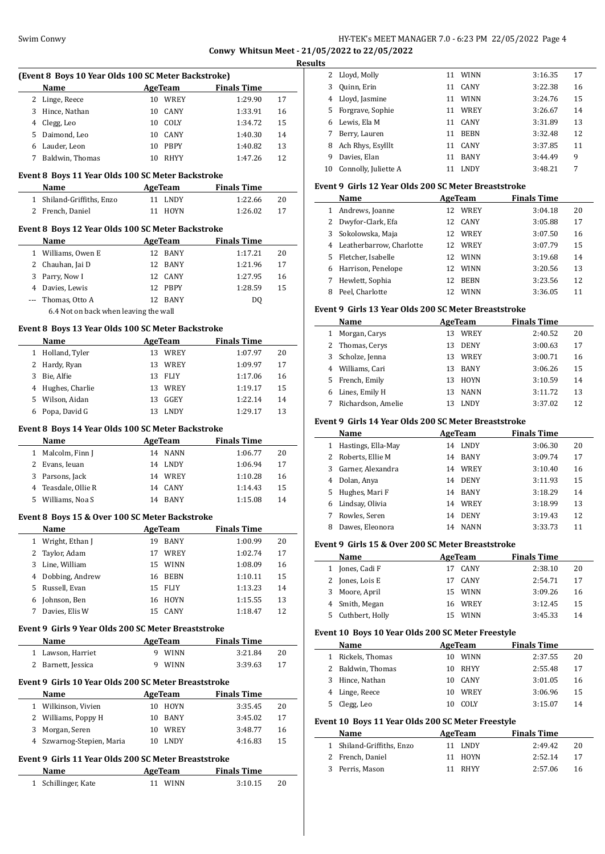# Swim Conwy HY-TEK's MEET MANAGER 7.0 - 6:23 PM 22/05/2022 Page 4 **Conwy Whitsun Meet - 21/05/2022 to 22/05/2022**

**Results**

|              |                                                           |                            |                     | <u>kesults</u> |
|--------------|-----------------------------------------------------------|----------------------------|---------------------|----------------|
|              | (Event 8 Boys 10 Year Olds 100 SC Meter Backstroke)       |                            |                     |                |
|              | Name                                                      | <b>Example 2.1 AgeTeam</b> | <b>Finals Time</b>  |                |
|              | 2 Linge, Reece                                            | 10 WREY                    | 1:29.90             | 17             |
|              | 3 Hince, Nathan                                           | 10 CANY                    | 1:33.91             | 16             |
|              | 4 Clegg, Leo                                              | 10 COLY                    | 1:34.72             | 15             |
|              | 5 Daimond, Leo                                            | 10 CANY                    | 1:40.30             | 14             |
|              | 6 Lauder, Leon                                            | 10 PBPY                    | 1:40.82             | 13             |
|              | 7 Baldwin, Thomas                                         | 10 RHYY                    | 1:47.26             | 12             |
|              | Event 8 Boys 11 Year Olds 100 SC Meter Backstroke         |                            |                     |                |
|              | Name                                                      |                            | AgeTeam Finals Time |                |
|              | 1 Shiland-Griffiths, Enzo                                 | 11 LNDY                    | 1:22.66             | 20             |
|              | 2 French, Daniel                                          | 11 HOYN                    | 1:26.02             | 17             |
|              |                                                           |                            |                     |                |
|              | Event 8 Boys 12 Year Olds 100 SC Meter Backstroke<br>Name | AgeTeam                    | <b>Finals Time</b>  |                |
|              | 1 Williams, Owen E                                        | 12 BANY                    | 1:17.21             | 20             |
|              | 2 Chauhan, Jai D                                          | 12 BANY                    | 1:21.96             | 17             |
|              | 3 Parry, Now I                                            | 12 CANY                    | 1:27.95             | 16             |
|              |                                                           | 12 PBPY                    |                     |                |
|              | 4 Davies, Lewis<br>--- Thomas, Otto A                     | 12 BANY                    | 1:28.59             | 15             |
|              | 6.4 Not on back when leaving the wall                     |                            | DQ                  |                |
|              |                                                           |                            |                     |                |
|              | Event 8 Boys 13 Year Olds 100 SC Meter Backstroke         |                            |                     |                |
|              | Name                                                      | AgeTeam                    | <b>Finals Time</b>  |                |
|              | 1 Holland, Tyler                                          | 13 WREY                    | 1:07.97             | 20             |
|              | 2 Hardy, Ryan                                             | 13 WREY                    | 1:09.97             | 17             |
| 3 Bie, Alfie |                                                           | 13 FLIY                    | 1:17.06             | 16             |
|              | 4 Hughes, Charlie                                         | 13 WREY                    | 1:19.17             | 15             |
|              | 5 Wilson, Aidan                                           | 13 GGEY                    | 1:22.14             | 14             |
|              | 6 Popa, David G                                           | 13 LNDY                    | 1:29.17             | 13             |
|              | Event 8 Boys 14 Year Olds 100 SC Meter Backstroke         |                            |                     |                |
|              | Name                                                      | AgeTeam                    | <b>Finals Time</b>  |                |
|              | 1 Malcolm, Finn J                                         | 14 NANN                    | 1:06.77             | 20             |
|              | 2 Evans, Ieuan                                            | 14 LNDY                    | 1:06.94             | 17             |
|              | 3 Parsons, Jack                                           | 14 WREY                    | 1:10.28             | 16             |
|              | 4 Teasdale, Ollie R                                       | 14 CANY                    | 1:14.43             | 15             |
|              | 5 Williams, Noa S                                         | 14 BANY                    | 1:15.08             | 14             |
|              |                                                           |                            |                     |                |
|              | Event 8 Boys 15 & Over 100 SC Meter Backstroke            |                            |                     |                |
|              | <u>Name</u>                                               | AgeTeam                    | <b>Finals Time</b>  |                |
| $\mathbf{1}$ | Wright, Ethan J                                           | 19 BANY                    | 1:00.99             | 20             |
| 2            | Taylor, Adam                                              | 17 WREY                    | 1:02.74             | 17             |
|              | 3 Line, William                                           | 15 WINN                    | 1:08.09             | 16             |
|              | 4 Dobbing, Andrew                                         | 16 BEBN                    | 1:10.11             | 15             |
|              | 5 Russell, Evan                                           | FLIY<br>15                 | 1:13.23             | 14             |
|              | 6 Johnson, Ben                                            | 16 HOYN                    | 1:15.55             | 13             |
| 7            | Davies, Elis W                                            | CANY<br>15                 | 1:18.47             | 12             |
|              | Event 9 Girls 9 Year Olds 200 SC Meter Breaststroke       |                            |                     |                |
|              | Name                                                      | AgeTeam                    | <b>Finals Time</b>  |                |
|              | 1 Lawson, Harriet                                         | 9 WINN                     | 3:21.84             | 20             |
|              | 2 Barnett, Jessica                                        | 9 WINN                     | 3:39.63             | 17             |
|              |                                                           |                            |                     |                |
|              | Event 9  Girls 10 Year Olds 200 SC Meter Breaststroke     |                            |                     |                |
|              | Name                                                      | <b>AgeTeam</b>             | <b>Finals Time</b>  |                |
|              | 1 Wilkinson, Vivien                                       | 10 HOYN                    | 3:35.45             | 20             |
|              | 2 Williams, Poppy H                                       | 10 BANY                    | 3:45.02             | 17             |
| 3            | Morgan, Seren                                             | 10 WREY                    | 3:48.77             | 16             |
| $4^{\circ}$  | Szwarnog-Stepien, Maria                                   | 10 LNDY                    | 4:16.83             | 15             |
|              | Event 9 Girls 11 Year Olds 200 SC Meter Breaststroke      |                            |                     |                |
|              |                                                           | <b>AgeTeam</b>             | <b>Finals Time</b>  |                |
|              |                                                           |                            |                     |                |
| Name<br>1    | Schillinger, Kate                                         | 11 WINN                    | 3:10.15             | 20             |

|   | 2 Lloyd, Molly          | 11 | <b>WINN</b> | 3:16.35 | 17 |
|---|-------------------------|----|-------------|---------|----|
| 3 | Quinn, Erin             | 11 | <b>CANY</b> | 3:22.38 | 16 |
|   | 4 Lloyd, Jasmine        | 11 | <b>WINN</b> | 3:24.76 | 15 |
|   | 5 Forgrave, Sophie      | 11 | WREY        | 3:26.67 | 14 |
| 6 | Lewis. Ela M            | 11 | CANY        | 3:31.89 | 13 |
| 7 | Berry, Lauren           | 11 | <b>BEBN</b> | 3:32.48 | 12 |
| 8 | Ach Rhys, Esylllt       | 11 | <b>CANY</b> | 3:37.85 | 11 |
| 9 | Davies, Elan            | 11 | <b>BANY</b> | 3:44.49 | 9  |
|   | 10 Connolly, Juliette A | 11 | <b>LNDY</b> | 3:48.21 | 7  |

# **Event 9 Girls 12 Year Olds 200 SC Meter Breaststroke**

|    | Name                     | AgeTeam            | <b>Finals Time</b> |    |
|----|--------------------------|--------------------|--------------------|----|
| 1  | Andrews, Joanne          | WREY<br>12         | 3:04.18            | 20 |
| 2  | Dwyfor-Clark, Efa        | <b>CANY</b><br>12  | 3:05.88            | 17 |
| 3  | Sokolowska, Maja         | <b>WREY</b><br>12  | 3:07.50            | 16 |
| 4  | Leatherbarrow, Charlotte | WREY<br>12.        | 3:07.79            | 15 |
| 5. | Fletcher, Isabelle       | <b>WINN</b><br>12. | 3:19.68            | 14 |
| 6  | Harrison, Penelope       | <b>WINN</b><br>12  | 3:20.56            | 13 |
|    | Hewlett, Sophia          | <b>BEBN</b><br>12  | 3:23.56            | 12 |
| 8  | Peel, Charlotte          | <b>WINN</b>        | 3:36.05            | 11 |

#### **Event 9 Girls 13 Year Olds 200 SC Meter Breaststroke**

|   | <b>Name</b>        | <b>AgeTeam</b>    | <b>Finals Time</b> |    |
|---|--------------------|-------------------|--------------------|----|
|   | Morgan, Carys      | WREY<br>13        | 2:40.52            | 20 |
|   | 2 Thomas, Cerys    | <b>DENY</b><br>13 | 3:00.63            | 17 |
|   | 3 Scholze, Jenna   | WREY<br>13        | 3:00.71            | 16 |
| 4 | Williams, Cari     | <b>BANY</b><br>13 | 3:06.26            | 15 |
|   | 5 French, Emily    | <b>HOYN</b><br>13 | 3:10.59            | 14 |
| 6 | Lines, Emily H     | <b>NANN</b><br>13 | 3:11.72            | 13 |
|   | Richardson, Amelie | LNDY<br>13        | 3:37.02            | 12 |

#### **Event 9 Girls 14 Year Olds 200 SC Meter Breaststroke**

|    | Name               | AgeTeam           | <b>Finals Time</b> |    |
|----|--------------------|-------------------|--------------------|----|
|    | Hastings, Ella-May | <b>LNDY</b><br>14 | 3:06.30            | 20 |
|    | Roberts, Ellie M   | <b>BANY</b><br>14 | 3:09.74            | 17 |
| 3. | Garner, Alexandra  | 14 WREY           | 3:10.40            | 16 |
| 4  | Dolan, Anya        | <b>DENY</b><br>14 | 3:11.93            | 15 |
| 5. | Hughes, Mari F     | <b>BANY</b><br>14 | 3:18.29            | 14 |
| 6  | Lindsay, Olivia    | WREY<br>14        | 3:18.99            | 13 |
|    | Rowles, Seren      | <b>DENY</b><br>14 | 3:19.43            | 12 |
| 8  | Dawes, Eleonora    | <b>NANN</b><br>14 | 3:33.73            | 11 |

#### **Event 9 Girls 15 & Over 200 SC Meter Breaststroke**

|    | Name            |     | AgeTeam     | <b>Finals Time</b> |    |
|----|-----------------|-----|-------------|--------------------|----|
|    | 1 Jones, Cadi F | 17  | CANY        | 2:38.10            | 20 |
|    | 2 Jones, Lois E | 17  | CANY        | 2:54.71            | 17 |
|    | 3 Moore, April  |     | 15 WINN     | 3:09.26            | 16 |
|    | 4 Smith, Megan  |     | 16 WREY     | 3:12.45            | 15 |
| 5. | Cuthbert, Holly | 15. | <b>WINN</b> | 3:45.33            | 14 |

#### **Event 10 Boys 10 Year Olds 200 SC Meter Freestyle**

| Name              |     | AgeTeam     | <b>Finals Time</b> |    |
|-------------------|-----|-------------|--------------------|----|
| 1 Rickels, Thomas | 10. | <b>WINN</b> | 2:37.55            | 20 |
| 2 Baldwin, Thomas | 10. | RHYY        | 2:55.48            | 17 |
| 3 Hince, Nathan   | 10. | CANY        | 3:01.05            | 16 |
| 4 Linge, Reece    | 10. | WREY        | 3:06.96            | 15 |
| Clegg, Leo        |     | COLY        | 3:15.07            | 14 |

# **Event 10 Boys 11 Year Olds 200 SC Meter Freestyle**

| <b>Name</b>               | AgeTeam     | <b>Finals Time</b> |    |
|---------------------------|-------------|--------------------|----|
| 1 Shiland-Griffiths, Enzo | LNDY<br>11. | 2.49.42            | 20 |
| 2 French, Daniel          | 11 HOYN     | 2:52.14            | 17 |
| 3 Perris, Mason           | 11 RHYY     | 2:57.06            | 16 |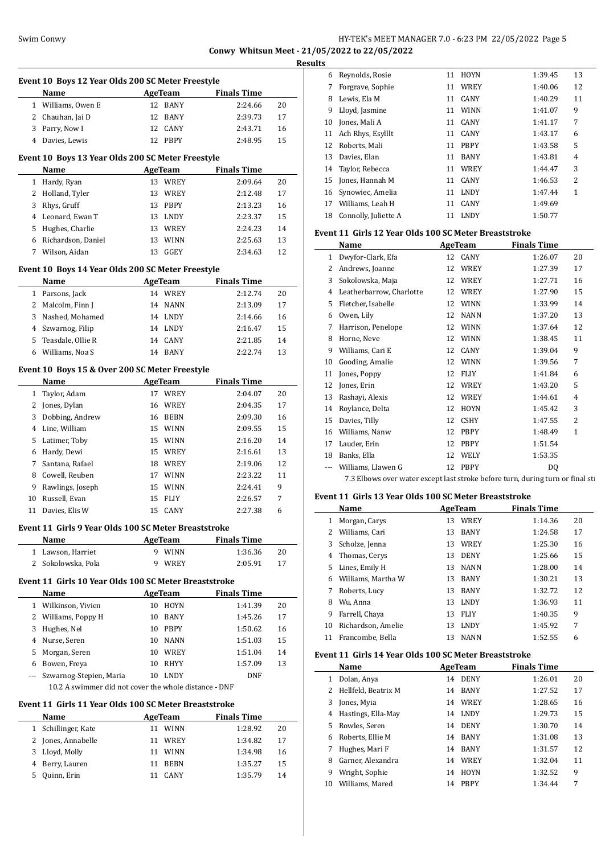# Swim Conwy HY-TEK's MEET MANAGER 7.0 - 6:23 PM 22/05/2022 Page 5 **Conwy Whitsun Meet - 21/05/2022 to 22/05/2022**

**Results**

**Event 10 Boys 12 Year Olds 200 SC Meter Freestyle Name Age Team Finals Time** 1 Williams, Owen E 12 BANY 2:24.66 20 2 Chauhan, Jai D 12 BANY 2:39.73 17 3 Parry, Now I 12 CANY 2:43.71 16 Davies, Lewis 12 PBPY 2:48.95 15 **Event 10 Boys 13 Year Olds 200 SC Meter Freestyle Name AgeTeam Finals Time**  Hardy, Ryan 13 WREY 2:09.64 20 2 Holland, Tyler 13 WREY 2:12.48 17 Rhys, Gruff 13 PBPY 2:13.23 16 4 Leonard, Ewan T 13 LNDY 2:23.37 15 Hughes, Charlie 13 WREY 2:24.23 14 Richardson, Daniel 13 WINN 2:25.63 13 Wilson, Aidan 13 GGEY 2:34.63 12 **Event 10 Boys 14 Year Olds 200 SC Meter Freestyle Name Age Team Finals Time** Parsons, Jack 14 WREY 2:12.74 20 2 Malcolm, Finn J 14 NANN 2:13.09 17 Nashed, Mohamed 14 LNDY 2:14.66 16 Szwarnog, Filip 14 LNDY 2:16.47 15 Teasdale, Ollie R 14 CANY 2:21.85 14 Williams, Noa S 14 BANY 2:22.74 13 **Event 10 Boys 15 & Over 200 SC Meter Freestyle Name Age Team Finals Time**  Taylor, Adam 17 WREY 2:04.07 20 Jones, Dylan 16 WREY 2:04.35 17 Dobbing, Andrew 16 BEBN 2:09.30 16 Line, William 15 WINN 2:09.55 15 Latimer, Toby 15 WINN 2:16.20 14 Hardy, Dewi 15 WREY 2:16.61 13 Santana, Rafael 18 WREY 2:19.06 12 Cowell, Reuben 17 WINN 2:23.22 11 Rawlings, Joseph 15 WINN 2:24.41 9 Russell, Evan 15 FLIY 2:26.57 7 Davies, Elis W 15 CANY 2:27.38 6 **Event 11 Girls 9 Year Olds 100 SC Meter Breaststroke Name Age Team Finals Time**  Lawson, Harriet 9 WINN 1:36.36 20 Sokolowska, Pola 9 WREY 2:05.91 17 **Event 11 Girls 10 Year Olds 100 SC Meter Breaststroke Name Age Team Finals Time**  Wilkinson, Vivien 10 HOYN 1:41.39 20 2 Williams, Poppy H 10 BANY 1:45.26 17 Hughes, Nel 10 PBPY 1:50.62 16 4 Nurse, Seren 10 NANN 1:51.03 15 Morgan, Seren 10 WREY 1:51.04 14 Bowen, Freya 10 RHYY 1:57.09 13 --- Szwarnog-Stepien, Maria 10 LNDY DNF 10.2 A swimmer did not cover the whole distance - DNF

#### **Event 11 Girls 11 Year Olds 100 SC Meter Breaststroke**

| Name                | AgeTeam           | <b>Finals Time</b> |    |
|---------------------|-------------------|--------------------|----|
| 1 Schillinger, Kate | <b>WINN</b><br>11 | 1:28.92            | 20 |
| 2 Jones, Annabelle  | WREY<br>11.       | 1:34.82            | 17 |
| Lloyd, Molly<br>3   | <b>WINN</b><br>11 | 1:34.98            | 16 |
| 4 Berry, Lauren     | <b>BEBN</b><br>11 | 1:35.27            | 15 |
| Quinn, Erin         | <b>CANY</b>       | 1:35.79            | 14 |

| 6  | Reynolds, Rosie      | 11 | <b>HOYN</b> | 1:39.45 | 13 |
|----|----------------------|----|-------------|---------|----|
| 7  | Forgrave, Sophie     | 11 | WREY        | 1:40.06 | 12 |
| 8  | Lewis, Ela M         | 11 | <b>CANY</b> | 1:40.29 | 11 |
| 9  | Lloyd, Jasmine       | 11 | <b>WINN</b> | 1:41.07 | 9  |
| 10 | Jones, Mali A        | 11 | <b>CANY</b> | 1:41.17 | 7  |
| 11 | Ach Rhys, Esylllt    | 11 | CANY        | 1:43.17 | 6  |
| 12 | Roberts, Mali        | 11 | <b>PBPY</b> | 1:43.58 | 5  |
| 13 | Davies, Elan         | 11 | <b>BANY</b> | 1:43.81 | 4  |
|    | 14 Taylor, Rebecca   | 11 | <b>WREY</b> | 1:44.47 | 3  |
| 15 | Jones, Hannah M      | 11 | <b>CANY</b> | 1:46.53 | 2  |
| 16 | Synowiec, Amelia     | 11 | <b>LNDY</b> | 1:47.44 | 1  |
| 17 | Williams, Leah H     | 11 | <b>CANY</b> | 1:49.69 |    |
| 18 | Connolly, Juliette A | 11 | LNDY        | 1:50.77 |    |
|    |                      |    |             |         |    |

#### **Event 11 Girls 12 Year Olds 100 SC Meter Breaststroke**

|    | Name                                                                           | AgeTeam           | <b>Finals Time</b> |    |
|----|--------------------------------------------------------------------------------|-------------------|--------------------|----|
| 1  | Dwyfor-Clark, Efa                                                              | 12 CANY           | 1:26.07            | 20 |
| 2  | Andrews, Joanne                                                                | WREY<br>12        | 1:27.39            | 17 |
| 3  | Sokolowska, Maja                                                               | WREY<br>12        | 1:27.71            | 16 |
| 4  | Leatherbarrow, Charlotte                                                       | WREY<br>12        | 1:27.90            | 15 |
| 5  | Fletcher, Isabelle                                                             | <b>WINN</b><br>12 | 1:33.99            | 14 |
| 6  | Owen, Lily                                                                     | <b>NANN</b><br>12 | 1:37.20            | 13 |
| 7  | Harrison, Penelope                                                             | <b>WINN</b><br>12 | 1:37.64            | 12 |
| 8  | Horne, Neve                                                                    | <b>WINN</b><br>12 | 1:38.45            | 11 |
| 9  | Williams, Cari E                                                               | CANY<br>12        | 1:39.04            | 9  |
| 10 | Gooding, Amalie                                                                | <b>WINN</b><br>12 | 1:39.56            | 7  |
| 11 | Jones, Poppy                                                                   | <b>FLIY</b><br>12 | 1:41.84            | 6  |
| 12 | Jones, Erin                                                                    | <b>WREY</b><br>12 | 1:43.20            | 5  |
| 13 | Rashayi, Alexis                                                                | WREY<br>12        | 1:44.61            | 4  |
| 14 | Roylance, Delta                                                                | <b>HOYN</b><br>12 | 1:45.42            | 3  |
| 15 | Davies, Tilly                                                                  | <b>CSHY</b><br>12 | 1:47.55            | 2  |
| 16 | Williams, Nanw                                                                 | <b>PBPY</b><br>12 | 1:48.49            | 1  |
| 17 | Lauder, Erin                                                                   | <b>PBPY</b><br>12 | 1:51.54            |    |
| 18 | Banks, Ella                                                                    | WELY<br>12        | 1:53.35            |    |
|    | Williams, Llawen G                                                             | 12<br><b>PBPY</b> | DQ                 |    |
|    | 7.3 Elbows over water except last stroke before turn, during turn or final sti |                   |                    |    |

#### **Event 11 Girls 13 Year Olds 100 SC Meter Breaststroke**

|    | Name               | AgeTeam |             | <b>Finals Time</b> |    |
|----|--------------------|---------|-------------|--------------------|----|
| 1  | Morgan, Carys      | 13      | WREY        | 1:14.36            | 20 |
| 2  | Williams, Cari     | 13      | <b>BANY</b> | 1:24.58            | 17 |
| 3  | Scholze, Jenna     | 13      | WREY        | 1:25.30            | 16 |
| 4  | Thomas, Cerys      | 13      | <b>DENY</b> | 1:25.66            | 15 |
| 5  | Lines, Emily H     | 13      | <b>NANN</b> | 1:28.00            | 14 |
| 6  | Williams. Martha W | 13      | <b>BANY</b> | 1:30.21            | 13 |
| 7  | Roberts, Lucy      | 13      | <b>BANY</b> | 1:32.72            | 12 |
| 8  | Wu, Anna           | 13      | <b>LNDY</b> | 1:36.93            | 11 |
| 9  | Farrell, Chava     | 13      | <b>FLIY</b> | 1:40.35            | 9  |
| 10 | Richardson, Amelie | 13      | <b>LNDY</b> | 1:45.92            | 7  |
| 11 | Francombe, Bella   | 13      | <b>NANN</b> | 1:52.55            | 6  |

#### **Event 11 Girls 14 Year Olds 100 SC Meter Breaststroke**

 $\overline{a}$ 

|    | Name                |    | AgeTeam     | <b>Finals Time</b> |    |
|----|---------------------|----|-------------|--------------------|----|
|    | Dolan, Anya         |    | 14 DENY     | 1:26.01            | 20 |
|    | Hellfeld, Beatrix M |    | 14 BANY     | 1:27.52            | 17 |
| 3  | Jones, Myia         |    | 14 WREY     | 1:28.65            | 16 |
| 4  | Hastings, Ella-May  |    | 14 LNDY     | 1:29.73            | 15 |
| 5. | Rowles, Seren       |    | 14 DENY     | 1:30.70            | 14 |
| 6  | Roberts. Ellie M    |    | 14 BANY     | 1:31.08            | 13 |
|    | Hughes, Mari F      |    | 14 BANY     | 1:31.57            | 12 |
| 8  | Garner, Alexandra   | 14 | WREY        | 1:32.04            | 11 |
| 9  | Wright, Sophie      | 14 | <b>HOYN</b> | 1:32.52            | 9  |
| 10 | Williams. Mared     | 14 | <b>PBPY</b> | 1:34.44            | 7  |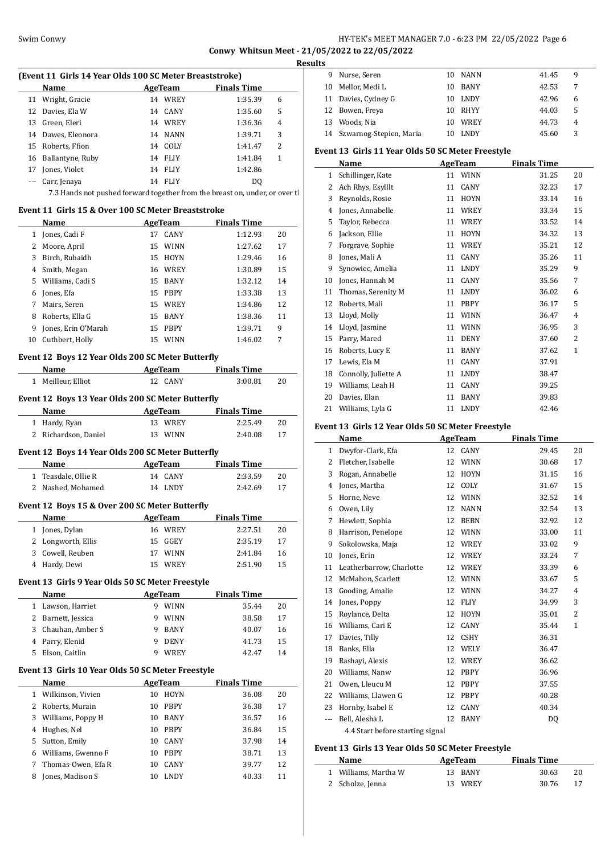# Swim Conwy HY-TEK's MEET MANAGER 7.0 - 6:23 PM 22/05/2022 Page 6

**Conwy Whitsun Meet - 21/05/2022 to 22/05/2022 Results**

|                | (Event 11 Girls 14 Year Olds 100 SC Meter Breaststroke)                     |                            |                    |          |
|----------------|-----------------------------------------------------------------------------|----------------------------|--------------------|----------|
|                | Name                                                                        | <b>AgeTeam</b>             | <b>Finals Time</b> |          |
|                | 11 Wright, Gracie                                                           | 14 WREY                    | 1:35.39            | 6        |
|                | 12 Davies, Ela W                                                            | 14 CANY                    | 1:35.60            | 5        |
|                | 13 Green, Eleri                                                             | 14 WREY                    | 1:36.36            | 4        |
|                | 14 Dawes, Eleonora                                                          | 14 NANN                    | 1:39.71            | 3        |
|                | 15 Roberts, Ffion                                                           | 14 COLY                    | 1:41.47            | 2        |
| 16             | Ballantyne, Ruby                                                            | 14 FLIY                    | 1:41.84            | 1        |
| 17             | Jones, Violet                                                               | 14 FLIY                    | 1:42.86            |          |
|                | --- Carr, Jenaya                                                            | 14 FLIY                    | DQ                 |          |
|                | 7.3 Hands not pushed forward together from the breast on, under, or over tl |                            |                    |          |
|                |                                                                             |                            |                    |          |
|                | Event 11 Girls 15 & Over 100 SC Meter Breaststroke<br>Name                  | <b>Example 2</b> AgeTeam   | <b>Finals Time</b> |          |
|                | 1 Jones, Cadi F                                                             | 17 CANY                    | 1:12.93            | 20       |
|                |                                                                             |                            |                    |          |
|                | 2 Moore, April                                                              | 15 WINN                    | 1:27.62            | 17       |
|                | 3 Birch, Rubaidh                                                            | 15 HOYN                    | 1:29.46            | 16       |
|                | 4 Smith, Megan                                                              | 16 WREY                    | 1:30.89            | 15       |
|                | 5 Williams, Cadi S                                                          | 15 BANY                    | 1:32.12            | 14       |
|                | 6 Jones, Efa                                                                | 15 PBPY                    | 1:33.38            | 13       |
|                | 7 Mairs, Seren                                                              | 15 WREY                    | 1:34.86            | 12       |
| 8              | Roberts, Ella G                                                             | 15 BANY                    | 1:38.36            | 11       |
| 9              | Jones, Erin O'Marah                                                         | 15 PBPY                    | 1:39.71            | 9        |
|                | 10 Cuthbert, Holly                                                          | 15 WINN                    | 1:46.02            | 7        |
|                | Event 12 Boys 12 Year Olds 200 SC Meter Butterfly                           |                            |                    |          |
|                | Name                                                                        | <b>AgeTeam</b>             | <b>Finals Time</b> |          |
|                | 1 Meilleur, Elliot                                                          | 12 CANY                    | 3:00.81            | 20       |
|                | Event 12 Boys 13 Year Olds 200 SC Meter Butterfly                           |                            |                    |          |
|                | Name                                                                        | <b>Example 2.5 AgeTeam</b> | <b>Finals Time</b> |          |
|                | 1 Hardy, Ryan                                                               | 13 WREY                    | 2:25.49            | 20       |
|                | 2 Richardson, Daniel                                                        | 13 WINN                    | 2:40.08            | 17       |
|                |                                                                             |                            |                    |          |
|                | Event 12 Boys 14 Year Olds 200 SC Meter Butterfly                           |                            |                    |          |
|                | Name                                                                        | AgeTeam                    | <b>Finals Time</b> |          |
|                | 1 Teasdale, Ollie R                                                         | 14 CANY                    | 2:33.59            | 20       |
|                | 2 Nashed, Mohamed                                                           | 14 LNDY                    | 2:42.69            | 17       |
|                | Event 12 Boys 15 & Over 200 SC Meter Butterfly                              |                            |                    |          |
|                | Name                                                                        | <b>AgeTeam</b>             | <b>Finals Time</b> |          |
| 1              | Jones, Dylan                                                                |                            |                    |          |
|                |                                                                             |                            |                    |          |
|                |                                                                             | 16 WREY                    | 2:27.51            | 20       |
| 2              | Longworth, Ellis                                                            | 15<br>GGEY                 | 2:35.19            | 17       |
| 3              | Cowell, Reuben                                                              | WINN<br>17                 | 2:41.84            | 16       |
|                | 4 Hardy, Dewi                                                               | WREY<br>15                 | 2:51.90            | 15       |
|                | Event 13 Girls 9 Year Olds 50 SC Meter Freestyle                            |                            |                    |          |
|                | Name                                                                        | <b>AgeTeam</b>             | <b>Finals Time</b> |          |
|                | 1 Lawson, Harriet                                                           | 9 WINN                     | 35.44              | 20       |
|                | 2 Barnett, Jessica                                                          | 9 WINN                     | 38.58              | 17       |
|                | 3 Chauhan, Amber S                                                          | 9 BANY                     | 40.07              | 16       |
| $\overline{4}$ | Parry, Elenid                                                               | DENY<br>9                  | 41.73              | 15       |
| 5              | Elson, Caitlin                                                              | 9 WREY                     | 42.47              | 14       |
|                | Event 13 Girls 10 Year Olds 50 SC Meter Freestyle                           |                            |                    |          |
|                | Name                                                                        | <b>AgeTeam</b>             | <b>Finals Time</b> |          |
| 1              | Wilkinson, Vivien                                                           | 10 HOYN                    | 36.08              | 20       |
| 2              | Roberts, Murain                                                             | 10 PBPY                    | 36.38              | 17       |
| 3              | Williams, Poppy H                                                           | 10 BANY                    | 36.57              | 16       |
| 4              | Hughes, Nel                                                                 | 10 PBPY                    | 36.84              | 15       |
| 5              |                                                                             | 10 CANY                    |                    | 14       |
|                | Sutton, Emily                                                               |                            | 37.98              |          |
| 6<br>7         | Williams, Gwenno F<br>Thomas-Owen, Efa R                                    | 10 PBPY<br>10 CANY         | 38.71<br>39.77     | 13<br>12 |

| ΓS |                            |    |             |       |   |
|----|----------------------------|----|-------------|-------|---|
| 9  | Nurse, Seren               | 10 | NANN        | 41.45 | 9 |
| 10 | Mellor, Medi L             | 10 | BANY        | 42.53 |   |
|    | 11 Davies, Cydney G        | 10 | LNDY        | 42.96 | 6 |
|    | 12 Bowen, Freya            | 10 | RHYY        | 44.03 | 5 |
| 13 | Woods. Nia                 | 10 | WREY        | 44.73 | 4 |
|    | 14 Szwarnog-Stepien, Maria |    | <b>LNDY</b> | 45.60 | 3 |

# **Event 13 Girls 11 Year Olds 50 SC Meter Freestyle**

|    | Name                 |    | <b>AgeTeam</b> | <b>Finals Time</b> |                |
|----|----------------------|----|----------------|--------------------|----------------|
| 1  | Schillinger, Kate    | 11 | <b>WINN</b>    | 31.25              | 20             |
| 2  | Ach Rhys, Esylllt    | 11 | <b>CANY</b>    | 32.23              | 17             |
| 3  | Reynolds, Rosie      | 11 | <b>HOYN</b>    | 33.14              | 16             |
| 4  | Jones, Annabelle     | 11 | <b>WREY</b>    | 33.34              | 15             |
| 5  | Taylor, Rebecca      | 11 | WREY           | 33.52              | 14             |
| 6  | Jackson, Ellie       | 11 | <b>HOYN</b>    | 34.32              | 13             |
| 7  | Forgrave, Sophie     | 11 | WREY           | 35.21              | 12             |
| 8  | Jones, Mali A        | 11 | <b>CANY</b>    | 35.26              | 11             |
| 9  | Synowiec, Amelia     | 11 | <b>LNDY</b>    | 35.29              | 9              |
| 10 | Jones, Hannah M      | 11 | CANY           | 35.56              | 7              |
| 11 | Thomas, Serenity M   | 11 | <b>LNDY</b>    | 36.02              | 6              |
| 12 | Roberts, Mali        | 11 | <b>PBPY</b>    | 36.17              | 5              |
| 13 | Lloyd, Molly         | 11 | <b>WINN</b>    | 36.47              | 4              |
| 14 | Lloyd, Jasmine       | 11 | <b>WINN</b>    | 36.95              | 3              |
| 15 | Parry, Mared         | 11 | <b>DENY</b>    | 37.60              | $\overline{c}$ |
| 16 | Roberts, Lucy E      | 11 | <b>BANY</b>    | 37.62              | $\mathbf{1}$   |
| 17 | Lewis, Ela M         | 11 | <b>CANY</b>    | 37.91              |                |
| 18 | Connolly, Juliette A | 11 | <b>LNDY</b>    | 38.47              |                |
| 19 | Williams, Leah H     | 11 | CANY           | 39.25              |                |
| 20 | Davies, Elan         | 11 | <b>BANY</b>    | 39.83              |                |
| 21 | Williams, Lyla G     | 11 | <b>LNDY</b>    | 42.46              |                |
|    |                      |    |                |                    |                |

# **Event 13 Girls 12 Year Olds 50 SC Meter Freestyle**

|              | Name                             |    | AgeTeam     | <b>Finals Time</b> |                |
|--------------|----------------------------------|----|-------------|--------------------|----------------|
| $\mathbf{1}$ | Dwyfor-Clark, Efa                | 12 | CANY        | 29.45              | 20             |
| 2            | Fletcher, Isabelle               | 12 | <b>WINN</b> | 30.68              | 17             |
| 3            | Rogan, Annabelle                 | 12 | <b>HOYN</b> | 31.15              | 16             |
| 4            | Jones, Martha                    | 12 | COLY        | 31.67              | 15             |
| 5            | Horne, Neve                      | 12 | <b>WINN</b> | 32.52              | 14             |
| 6            | Owen, Lily                       | 12 | <b>NANN</b> | 32.54              | 13             |
| 7            | Hewlett, Sophia                  | 12 | <b>BEBN</b> | 32.92              | 12             |
| 8            | Harrison, Penelope               | 12 | <b>WINN</b> | 33.00              | 11             |
| 9            | Sokolowska, Maja                 | 12 | <b>WREY</b> | 33.02              | 9              |
| 10           | Jones, Erin                      | 12 | <b>WREY</b> | 33.24              | 7              |
| 11           | Leatherbarrow, Charlotte         | 12 | <b>WREY</b> | 33.39              | 6              |
| 12           | McMahon, Scarlett                | 12 | <b>WINN</b> | 33.67              | 5              |
| 13           | Gooding, Amalie                  | 12 | <b>WINN</b> | 34.27              | 4              |
| 14           | Jones, Poppy                     | 12 | <b>FLIY</b> | 34.99              | 3              |
| 15           | Roylance, Delta                  | 12 | <b>HOYN</b> | 35.01              | $\overline{2}$ |
| 16           | Williams, Cari E                 | 12 | CANY        | 35.44              | $\mathbf{1}$   |
| 17           | Davies, Tilly                    | 12 | <b>CSHY</b> | 36.31              |                |
| 18           | Banks, Ella                      | 12 | WELY        | 36.47              |                |
| 19           | Rashayi, Alexis                  | 12 | <b>WREY</b> | 36.62              |                |
| 20           | Williams, Nanw                   | 12 | PBPY        | 36.96              |                |
| 21           | Owen, Lleucu M                   | 12 | PBPY        | 37.55              |                |
| 22           | Williams, Llawen G               | 12 | <b>PBPY</b> | 40.28              |                |
| 23           | Hornby, Isabel E                 | 12 | CANY        | 40.34              |                |
| ---          | Bell, Alesha L                   | 12 | <b>BANY</b> | DQ                 |                |
|              | 4.4 Start before starting signal |    |             |                    |                |

#### **Event 13 Girls 13 Year Olds 50 SC Meter Freestyle**

| Name                 | AgeTeam | <b>Finals Time</b> |  |
|----------------------|---------|--------------------|--|
| 1 Williams, Martha W | 13 BANY | 30.63<br>20        |  |
| 2 Scholze, Jenna     | 13 WREY | 30.76<br>-17       |  |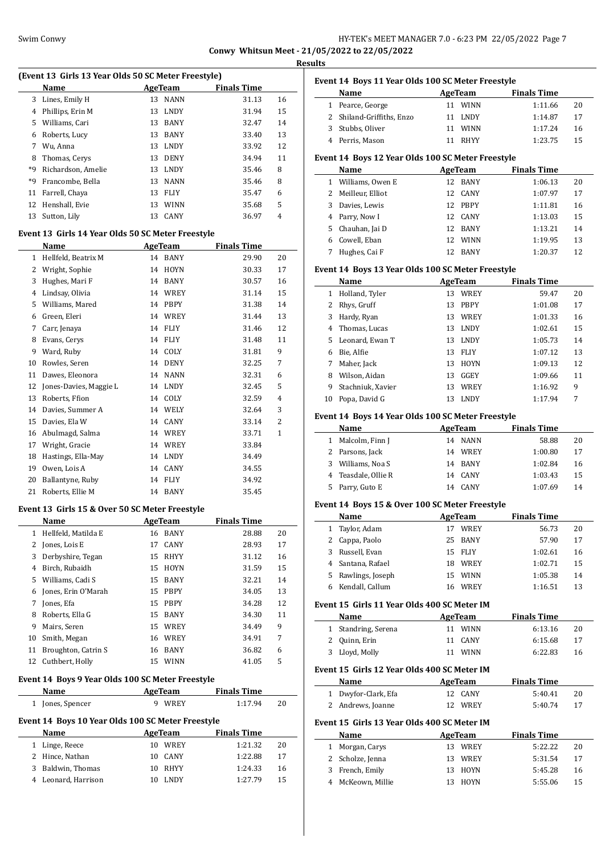# HY-TEK's MEET MANAGER 7.0 - 6:23 PM 22/05/2022 Page 7 **Conwy Whitsun Meet - 21/05/2022 to 22/05/2022**

**Results**

|              | Swim Conwy                                          |    |             | <b>Conwy Whitsun Me</b> |                |
|--------------|-----------------------------------------------------|----|-------------|-------------------------|----------------|
|              | (Event 13 Girls 13 Year Olds 50 SC Meter Freestyle) |    |             |                         |                |
|              | Name                                                |    | AgeTeam     | <b>Finals Time</b>      |                |
| 3            | Lines, Emily H                                      | 13 | <b>NANN</b> | 31.13                   | 16             |
|              | 4 Phillips, Erin M                                  | 13 | <b>LNDY</b> | 31.94                   | 15             |
|              | 5 Williams, Cari                                    | 13 | <b>BANY</b> | 32.47                   | 14             |
|              | 6 Roberts, Lucy                                     | 13 | <b>BANY</b> | 33.40                   | 13             |
|              | 7 Wu, Anna                                          |    | 13 LNDY     | 33.92                   | 12             |
| 8            | Thomas, Cerys                                       |    | 13 DENY     | 34.94                   | 11             |
| *9           | Richardson, Amelie                                  |    | 13 LNDY     | 35.46                   | 8              |
| *9           | Francombe, Bella                                    | 13 | <b>NANN</b> | 35.46                   | 8              |
| 11           | Farrell, Chaya                                      | 13 | FLIY        | 35.47                   | 6              |
| 12           | Henshall, Evie                                      |    | 13 WINN     | 35.68                   | 5              |
| 13           | Sutton, Lily                                        | 13 | CANY        | 36.97                   | 4              |
|              | Event 13 Girls 14 Year Olds 50 SC Meter Freestyle   |    |             |                         |                |
|              | Name                                                |    | AgeTeam     | <b>Finals Time</b>      |                |
| $\mathbf{1}$ | Hellfeld, Beatrix M                                 | 14 | <b>BANY</b> | 29.90                   | 20             |
|              | 2 Wright, Sophie                                    |    | 14 HOYN     | 30.33                   | 17             |
|              | 3 Hughes, Mari F                                    | 14 | <b>BANY</b> | 30.57                   | 16             |
|              | 4 Lindsay, Olivia                                   |    | 14 WREY     | 31.14                   | 15             |
|              | 5 Williams, Mared                                   |    | 14 PBPY     | 31.38                   | 14             |
| 6            | Green, Eleri                                        |    | 14 WREY     | 31.44                   | 13             |
| 7            | Carr, Jenaya                                        |    | 14 FLIY     | 31.46                   | 12             |
| 8            | Evans, Cerys                                        |    | 14 FLIY     | 31.48                   | 11             |
|              | 9 Ward, Ruby                                        |    | 14 COLY     | 31.81                   | 9              |
| 10           | Rowles, Seren                                       |    | 14 DENY     | 32.25                   | 7              |
| 11           | Dawes, Eleonora                                     | 14 | <b>NANN</b> | 32.31                   | 6              |
| 12           | Jones-Davies, Maggie L                              |    | 14 LNDY     | 32.45                   | 5              |
| 13           | Roberts, Ffion                                      |    | 14 COLY     | 32.59                   | 4              |
| 14           | Davies, Summer A                                    |    | 14 WELY     | 32.64                   | 3              |
| 15           | Davies, Ela W                                       |    | 14 CANY     | 33.14                   | $\overline{2}$ |
| 16           | Abulmagd, Salma                                     |    | 14 WREY     | 33.71                   | 1              |
|              | 17 Wright, Gracie                                   |    | 14 WREY     | 33.84                   |                |
| 18           | Hastings, Ella-May                                  |    | 14 LNDY     | 34.49                   |                |
| 19           | Owen, Lois A                                        | 14 | CANY        | 34.55                   |                |
| 20           | Ballantyne, Ruby                                    | 14 | <b>FLIY</b> | 34.92                   |                |
| 21           | Roberts, Ellie M                                    | 14 | <b>BANY</b> | 35.45                   |                |

#### **Event 13 Girls 15 & Over 50 SC Meter Freestyle**

 $\overline{a}$ 

 $\overline{a}$ 

|    | Name                | AgeTeam |             | <b>Finals Time</b> |    |
|----|---------------------|---------|-------------|--------------------|----|
| 1  | Hellfeld, Matilda E | 16      | <b>BANY</b> | 28.88              | 20 |
|    | Jones, Lois E       | 17      | <b>CANY</b> | 28.93              | 17 |
| 3  | Derbyshire, Tegan   | 15      | <b>RHYY</b> | 31.12              | 16 |
| 4  | Birch, Rubaidh      | 15      | HOYN        | 31.59              | 15 |
| 5. | Williams, Cadi S    | 15      | <b>BANY</b> | 32.21              | 14 |
| 6  | Jones, Erin O'Marah |         | 15 PBPY     | 34.05              | 13 |
|    | Jones, Efa          |         | 15 PBPY     | 34.28              | 12 |
| 8  | Roberts, Ella G     | 15      | <b>BANY</b> | 34.30              | 11 |
| 9  | Mairs, Seren        | 15      | <b>WREY</b> | 34.49              | 9  |
| 10 | Smith, Megan        | 16      | WREY        | 34.91              | 7  |
| 11 | Broughton, Catrin S | 16      | <b>BANY</b> | 36.82              | 6  |
| 12 | Cuthbert, Holly     | 15      | <b>WINN</b> | 41.05              | 5  |

# **Event 14 Boys 9 Year Olds 100 SC Meter Freestyle**

| Name             | AgeTeam | <b>Finals Time</b> |    |
|------------------|---------|--------------------|----|
| 1 Jones, Spencer | WREY    | 1:17.94            | 20 |
| - - - -<br>.     | .       |                    |    |

# **Event 14 Boys 10 Year Olds 100 SC Meter Freestyle**

| Name                | AgeTeam     | <b>Finals Time</b> |    |
|---------------------|-------------|--------------------|----|
| 1 Linge, Reece      | WREY<br>10. | 1:21.32            | 20 |
| 2 Hince, Nathan     | 10 CANY     | 1:22.88            | 17 |
| 3 Baldwin, Thomas   | 10 RHYY     | 1:24.33            | 16 |
| 4 Leonard, Harrison | LNDY        | 1:27.79            | 15 |
|                     |             |                    |    |

|                                                   | Event 14 Boys 11 Year Olds 100 SC Meter Freestyle |    |                |                    |    |  |  |  |
|---------------------------------------------------|---------------------------------------------------|----|----------------|--------------------|----|--|--|--|
|                                                   | Name                                              |    | AgeTeam        | <b>Finals Time</b> |    |  |  |  |
| 1                                                 | Pearce, George                                    | 11 | <b>WINN</b>    | 1:11.66            | 20 |  |  |  |
|                                                   | 2 Shiland-Griffiths, Enzo                         |    | 11 LNDY        | 1:14.87            | 17 |  |  |  |
|                                                   | 3 Stubbs, Oliver                                  | 11 | <b>WINN</b>    | 1:17.24            | 16 |  |  |  |
|                                                   | 4 Perris, Mason                                   |    | 11 RHYY        | 1:23.75            | 15 |  |  |  |
| Event 14 Boys 12 Year Olds 100 SC Meter Freestyle |                                                   |    |                |                    |    |  |  |  |
|                                                   | Name                                              |    | <b>AgeTeam</b> | <b>Finals Time</b> |    |  |  |  |
|                                                   | 1 Williams, Owen E                                |    | 12 BANY        | 1:06.13            | 20 |  |  |  |
|                                                   | 2 Meilleur, Elliot                                |    | 12 CANY        | 1:07.97            | 17 |  |  |  |
| 3                                                 | Davies, Lewis                                     |    | 12 PBPY        | 1:11.81            | 16 |  |  |  |
| 4                                                 | Parry, Now I                                      |    | 12 CANY        | 1:13.03            | 15 |  |  |  |
| 5                                                 | Chauhan, Jai D                                    |    | 12 BANY        | 1:13.21            | 14 |  |  |  |
|                                                   | 6 Cowell, Eban                                    |    | 12 WINN        | 1:19.95            | 13 |  |  |  |
| 7                                                 | Hughes, Cai F                                     |    | 12 BANY        | 1:20.37            | 12 |  |  |  |
|                                                   | Event 14 Boys 13 Year Olds 100 SC Meter Freestyle |    |                |                    |    |  |  |  |
|                                                   | Name                                              |    | AgeTeam        | <b>Finals Time</b> |    |  |  |  |
| $\mathbf{1}$                                      | Holland, Tyler                                    |    | 13 WREY        | 59.47              | 20 |  |  |  |
| $\overline{2}$                                    | Rhys, Gruff                                       |    | 13 PBPY        | 1:01.08            | 17 |  |  |  |
| 3                                                 | Hardy, Ryan                                       |    | 13 WREY        | 1:01.33            | 16 |  |  |  |
| 4                                                 | Thomas, Lucas                                     |    | 13 LNDY        | 1:02.61            | 15 |  |  |  |
| 5                                                 | Leonard, Ewan T                                   |    | 13 LNDY        | 1:05.73            | 14 |  |  |  |
| 6                                                 | Bie, Alfie                                        |    | 13 FLIY        | 1:07.12            | 13 |  |  |  |
| 7                                                 | Maher, Jack                                       |    | 13 HOYN        | 1:09.13            | 12 |  |  |  |
| 8                                                 | Wilson, Aidan                                     |    | 13 GGEY        | 1:09.66            | 11 |  |  |  |
| 9                                                 | Stachniuk, Xavier                                 | 13 | <b>WREY</b>    | 1:16.92            | 9  |  |  |  |
| 10                                                | Popa, David G                                     | 13 | LNDY           | 1:17.94            | 7  |  |  |  |
|                                                   | Event 14 Boys 14 Year Olds 100 SC Meter Freestyle |    |                |                    |    |  |  |  |
|                                                   | Name                                              |    | <b>AgeTeam</b> | <b>Finals Time</b> |    |  |  |  |
|                                                   | 1 Malcolm, Finn J                                 |    | 14 NANN        | 58.88              | 20 |  |  |  |
|                                                   | 2 Parsons, Jack                                   |    | 14 WREY        | 1:00.80            | 17 |  |  |  |
|                                                   | 3 Williams, Noa S                                 |    | 14 BANY        | 1:02.84            | 16 |  |  |  |
| 4                                                 | Teasdale, Ollie R                                 |    | 14 CANY        | 1:03.43            | 15 |  |  |  |
|                                                   | 5 Parry, Guto E                                   |    | 14 CANY        | 1:07.69            | 14 |  |  |  |
|                                                   | Event 14 Boys 15 & Over 100 SC Meter Freestyle    |    |                |                    |    |  |  |  |

|    | Name               | AgeTeam |             | <b>Finals Time</b> |    |
|----|--------------------|---------|-------------|--------------------|----|
|    | 1 Taylor, Adam     | 17      | WREY        | 56.73              | 20 |
|    | 2 Cappa, Paolo     | 25.     | BANY        | 57.90              | 17 |
| 3. | Russell, Evan      |         | 15 FLIY     | 1:02.61            | 16 |
|    | 4 Santana, Rafael  | 18      | WREY        | 1:02.71            | 15 |
|    | 5 Rawlings, Joseph | 15      | <b>WINN</b> | 1:05.38            | 14 |
|    | Kendall, Callum    | 16      | WREY        | 1:16.51            | 13 |
|    |                    |         |             |                    |    |

# **Event 15 Girls 11 Year Olds 400 SC Meter IM**

| Name                | AgeTeam | <b>Finals Time</b> |    |
|---------------------|---------|--------------------|----|
| 1 Standring, Serena | 11 WINN | 6:13.16            | 20 |
| 2 Quinn, Erin       | 11 CANY | 6:15.68            | 17 |
| 3 Lloyd, Molly      | 11 WINN | 6:22.83            | 16 |

#### **Event 15 Girls 12 Year Olds 400 SC Meter IM**

 $\overline{a}$ 

| Name                | AgeTeam | <b>Finals Time</b> |     |
|---------------------|---------|--------------------|-----|
| 1 Dwyfor-Clark, Efa | 12 CANY | 5:40.41            | 20  |
| 2 Andrews, Joanne   | 12 WREY | 5:40.74            | -17 |

#### **Event 15 Girls 13 Year Olds 400 SC Meter IM**

| Name              | AgeTeam |         | <b>Finals Time</b> |    |
|-------------------|---------|---------|--------------------|----|
| 1 Morgan, Carys   |         | 13 WREY | 5:22.22            | 20 |
| 2 Scholze, Jenna  |         | 13 WREY | 5:31.54            | 17 |
| 3 French, Emily   |         | 13 HOYN | 5:45.28            | 16 |
| 4 McKeown, Millie |         | 13 HOYN | 5:55.06            | 15 |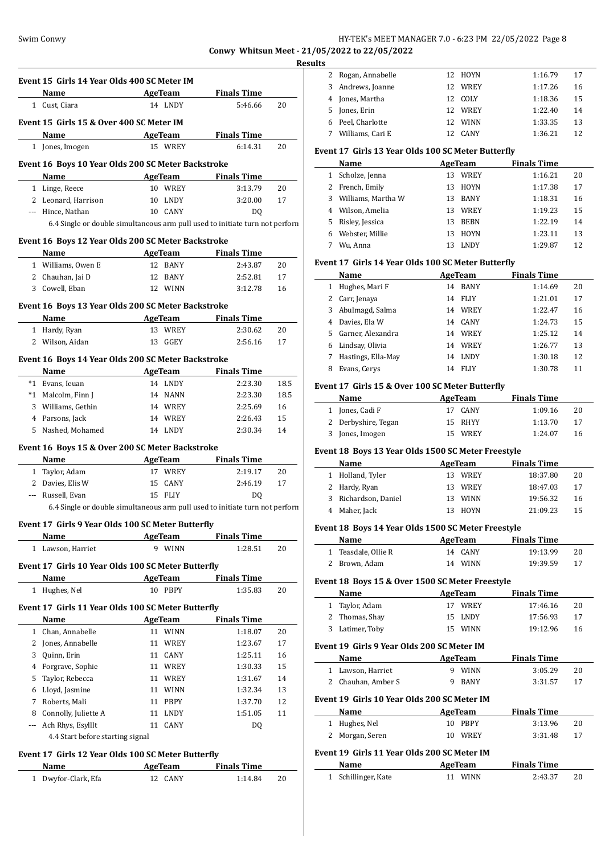# Swim Conwy HY-TEK's MEET MANAGER 7.0 - 6:23 PM 22/05/2022 Page 8 **Conwy Whitsun Meet - 21/05/2022 to 22/05/2022**

**Results**

|     |                                                    |                                                                              |                     |      | <b>Results</b>       |
|-----|----------------------------------------------------|------------------------------------------------------------------------------|---------------------|------|----------------------|
|     | Event 15 Girls 14 Year Olds 400 SC Meter IM        |                                                                              |                     |      | 2 Roga               |
|     | Name                                               | <b>Example 21 AgeTeam</b>                                                    | <b>Finals Time</b>  |      | 3<br>And             |
|     | 1 Cust, Ciara                                      | 14 LNDY                                                                      | 5:46.66             | 20   | 4<br>Jone            |
|     |                                                    |                                                                              |                     |      | 5<br>Jone            |
|     | Event 15 Girls 15 & Over 400 SC Meter IM           |                                                                              |                     |      | Peel<br>6            |
|     | Name                                               | <b>Example 2</b> AgeTeam                                                     | <b>Finals Time</b>  |      | Will<br>7            |
|     | 1 Jones, Imogen                                    | 15 WREY                                                                      | 6:14.31             | 20   | Event 17             |
|     | Event 16 Boys 10 Year Olds 200 SC Meter Backstroke |                                                                              |                     |      | <b>Nar</b>           |
|     | Name                                               | AgeTeam                                                                      | <b>Finals Time</b>  |      | 1 Scho               |
|     | 1 Linge, Reece                                     | 10 WREY                                                                      | 3:13.79             | 20   | 2 Fren               |
|     | 2 Leonard, Harrison                                | 10 LNDY                                                                      | 3:20.00             | 17   | 3 Will               |
|     | --- Hince, Nathan                                  | 10 CANY                                                                      | D <sub>0</sub>      |      | 4 Wils               |
|     |                                                    | 6.4 Single or double simultaneous arm pull used to initiate turn not perforn |                     |      | 5 Risle              |
|     | Event 16 Boys 12 Year Olds 200 SC Meter Backstroke |                                                                              |                     |      | Web<br>6             |
|     |                                                    |                                                                              |                     |      | Wu,<br>7             |
|     | Name<br>1 Williams, Owen E                         | <b>Example 2 AgeTeam</b> Finals Time<br>12 BANY                              | 2:43.87             | 20   | Event 17             |
|     | 2 Chauhan, Jai D                                   | 12 BANY                                                                      | 2:52.81             | 17   | Nar                  |
|     | 3 Cowell, Eban                                     | 12 WINN                                                                      | 3:12.78             | 16   | 1 Hug                |
|     |                                                    |                                                                              |                     |      | $2^{\circ}$<br>Carr  |
|     | Event 16 Boys 13 Year Olds 200 SC Meter Backstroke |                                                                              |                     |      | 3 Abu                |
|     | Name                                               |                                                                              | AgeTeam Finals Time |      | 4 Davi               |
|     | 1 Hardy, Ryan                                      | 13 WREY                                                                      | 2:30.62             | 20   | 5 Garr               |
|     | 2 Wilson, Aidan                                    | 13 GGEY                                                                      | 2:56.16             | 17   | 6 Lind               |
|     | Event 16 Boys 14 Year Olds 200 SC Meter Backstroke |                                                                              |                     |      | 7<br>Hast            |
|     | Name                                               | <b>AgeTeam</b>                                                               | <b>Finals Time</b>  |      | 8 Evar               |
|     | *1 Evans, Ieuan                                    | 14 LNDY                                                                      | 2:23.30             | 18.5 |                      |
|     | *1 Malcolm, Finn J                                 | 14 NANN                                                                      | 2:23.30             | 18.5 | Event 17             |
|     | 3 Williams, Gethin                                 | 14 WREY                                                                      | 2:25.69             | 16   | Nar                  |
|     | 4 Parsons, Jack                                    | 14 WREY                                                                      | 2:26.43             | 15   | 1 Jone               |
|     | 5 Nashed, Mohamed                                  | 14 LNDY                                                                      | 2:30.34             | 14   | $\mathbf{2}$<br>Derl |
|     |                                                    |                                                                              |                     |      | 3<br>Jone            |
|     | Event 16 Boys 15 & Over 200 SC Meter Backstroke    |                                                                              |                     |      | Event 18             |
|     | Name                                               | <b>Example 2.1 AgeTeam</b> Finals Time                                       |                     |      | Nar                  |
|     | 1 Taylor, Adam                                     | 17 WREY                                                                      | 2:19.17             | 20   | 1 Holl               |
|     | 2 Davies, Elis W                                   | 15 CANY                                                                      | 2:46.19             | 17   | 2 Hard               |
|     | --- Russell, Evan                                  | 15 FLIY                                                                      | DQ                  |      | 3<br>Rich            |
|     |                                                    | 6.4 Single or double simultaneous arm pull used to initiate turn not perforn |                     |      | 4<br>Mah             |
|     | Event 17 Girls 9 Year Olds 100 SC Meter Butterfly  |                                                                              |                     |      | Event 18             |
|     | Name                                               | <b>AgeTeam</b>                                                               | <b>Finals Time</b>  |      | Nar                  |
|     | 1 Lawson, Harriet                                  | 9 WINN                                                                       | 1:28.51             | 20   | 1<br>Teas            |
|     | Event 17 Girls 10 Year Olds 100 SC Meter Butterfly |                                                                              |                     |      | 2 Broy               |
|     | Name                                               | <b>AgeTeam</b>                                                               | <b>Finals Time</b>  |      |                      |
|     | 1 Hughes, Nel                                      | 10 PBPY                                                                      | 1:35.83             | 20   | Event 18             |
|     |                                                    |                                                                              |                     |      | Nar                  |
|     | Event 17 Girls 11 Year Olds 100 SC Meter Butterfly |                                                                              |                     |      | Tayl<br>$\mathbf{1}$ |
|     | Name                                               | AgeTeam                                                                      | <b>Finals Time</b>  |      | Tho:<br>$\mathbf{2}$ |
|     | 1 Chan, Annabelle                                  | 11 WINN                                                                      | 1:18.07             | 20   | 3<br>Lati            |
|     | 2 Jones, Annabelle                                 | 11 WREY                                                                      | 1:23.67             | 17   | Event 19             |
| 3   | Quinn, Erin                                        | 11 CANY                                                                      | 1:25.11             | 16   | Nar                  |
| 4   | Forgrave, Sophie                                   | 11 WREY                                                                      | 1:30.33             | 15   | $\mathbf{1}$<br>Law  |
| 5   | Taylor, Rebecca                                    | 11 WREY                                                                      | 1:31.67             | 14   | 2 Chai               |
| 6   | Lloyd, Jasmine                                     | 11 WINN                                                                      | 1:32.34             | 13   |                      |
|     | 7 Roberts, Mali                                    | 11 PBPY                                                                      | 1:37.70             | 12   | Event 19             |
| 8   | Connolly, Juliette A                               | 11 LNDY                                                                      | 1:51.05             | 11   | Nar                  |
| --- | Ach Rhys, Esylllt                                  | 11 CANY                                                                      | DQ                  |      | 1 Hug                |
|     | 4.4 Start before starting signal                   |                                                                              |                     |      | 2<br>Mor             |
|     | Event 17 Girls 12 Year Olds 100 SC Meter Butterfly |                                                                              |                     |      | Event 19             |
|     | Name                                               | <b>AgeTeam</b>                                                               | <b>Finals Time</b>  |      | Nar                  |
|     | 1 Dwyfor-Clark, Efa                                | 12 CANY                                                                      | 1:14.84             | 20   | 1 Schi               |
|     |                                                    |                                                                              |                     |      |                      |

| 2 Rogan, Annabelle |     | 12 HOYN     | 1:16.79 | 17 |
|--------------------|-----|-------------|---------|----|
| 3 Andrews, Joanne  | 12. | WREY        | 1:17.26 | 16 |
| 4 Jones, Martha    |     | 12 COLY     | 1:18.36 | 15 |
| 5 Jones, Erin      |     | 12 WREY     | 1:22.40 | 14 |
| 6 Peel, Charlotte  | 12. | WINN        | 1:33.35 | 13 |
| Williams, Cari E   | 12  | <b>CANY</b> | 1:36.21 | 12 |

#### **Event 17 Girls 13 Year Olds 100 SC Meter Butterfly**

|    | Name               | AgeTeam |             | <b>Finals Time</b> |    |
|----|--------------------|---------|-------------|--------------------|----|
| 1. | Scholze, Jenna     | 13      | <b>WREY</b> | 1:16.21            | 20 |
|    | 2 French, Emily    | 13      | <b>HOYN</b> | 1:17.38            | 17 |
| 3  | Williams, Martha W | 13      | <b>BANY</b> | 1:18.31            | 16 |
| 4  | Wilson, Amelia     | 13      | <b>WREY</b> | 1:19.23            | 15 |
| 5. | Risley, Jessica    | 13      | <b>BEBN</b> | 1:22.19            | 14 |
| 6  | Webster, Millie    | 13      | <b>HOYN</b> | 1:23.11            | 13 |
|    | Wu. Anna           | 13      | <b>LNDY</b> | 1:29.87            | 12 |

# **Event 17 Girls 14 Year Olds 100 SC Meter Butterfly**

|    | Name               | AgeTeam |             | <b>Finals Time</b> |    |  |
|----|--------------------|---------|-------------|--------------------|----|--|
|    | Hughes, Mari F     | 14      | BANY        | 1:14.69            | 20 |  |
| 2  | Carr, Jenaya       | 14      | <b>FLIY</b> | 1:21.01            | 17 |  |
| 3  | Abulmagd, Salma    | 14      | WREY        | 1:22.47            | 16 |  |
| 4  | Davies, Ela W      | 14      | <b>CANY</b> | 1:24.73            | 15 |  |
| 5. | Garner, Alexandra  | 14      | WREY        | 1:25.12            | 14 |  |
| 6  | Lindsay, Olivia    | 14      | <b>WREY</b> | 1:26.77            | 13 |  |
|    | Hastings, Ella-May | 14      | <b>LNDY</b> | 1:30.18            | 12 |  |
| 8  | Evans, Cerys       | 14      | <b>FLIY</b> | 1:30.78            | 11 |  |

#### **Event 17 Girls 15 & Over 100 SC Meter Butterfly**

| Name                | AgeTeam | <b>Finals Time</b> |    |
|---------------------|---------|--------------------|----|
| 1 Jones, Cadi F     | 17 CANY | 1:09.16            | 20 |
| 2 Derbyshire, Tegan | 15 RHYY | 1:13.70            | 17 |
| 3 Jones, Imogen     | 15 WREY | 1:24.07            | 16 |

#### **Event 18 Boys 13 Year Olds 1500 SC Meter Freestyle**

| Name                 | AgeTeam     | <b>Finals Time</b> |    |
|----------------------|-------------|--------------------|----|
| 1 Holland, Tyler     | 13 WREY     | 18:37.80           | 20 |
| 2 Hardy, Ryan        | 13 WREY     | 18:47.03           | 17 |
| 3 Richardson, Daniel | WINN<br>13. | 19:56.32           | 16 |
| 4 Maher, Jack        | 13 HOYN     | 21:09.23           | 15 |

#### **Event 18 Boys 14 Year Olds 1500 SC Meter Freestyle**

| Name                | AgeTeam | <b>Finals Time</b> |    |
|---------------------|---------|--------------------|----|
| 1 Teasdale, Ollie R | 14 CANY | 19:13.99           | 20 |
| 2 Brown, Adam       | 14 WINN | 19:39.59           | 17 |

## **Event 18 Boys 15 & Over 1500 SC Meter Freestyle**

| Name            | AgeTeam | <b>Finals Time</b> |    |
|-----------------|---------|--------------------|----|
| 1 Taylor, Adam  | 17 WREY | 17:46.16           | 20 |
| 2 Thomas, Shay  | 15 LNDY | 17:56.93           | 17 |
| 3 Latimer, Toby | 15 WINN | 19:12.96           | 16 |

# **Event 19 Girls 9 Year Olds 200 SC Meter IM**

| Event 19 Girls 9 rear Olds 200 SC Meter IM  |                    |         |                    |                    |    |  |  |
|---------------------------------------------|--------------------|---------|--------------------|--------------------|----|--|--|
|                                             | Name               | AgeTeam |                    | <b>Finals Time</b> |    |  |  |
|                                             | 1 Lawson, Harriet  |         | <b>WINN</b>        | 3:05.29            | 20 |  |  |
|                                             | 2 Chauhan, Amber S |         | BANY               | 3:31.57            | 17 |  |  |
| Event 19 Girls 10 Year Olds 200 SC Meter IM |                    |         |                    |                    |    |  |  |
| AgeTeam<br>Name                             |                    |         | <b>Finals Time</b> |                    |    |  |  |
|                                             |                    |         |                    |                    |    |  |  |

| Name            | AgeTeam | <b>Finals Time</b> |    |
|-----------------|---------|--------------------|----|
| 1 Hughes, Nel   | 10 PBPY | 3:13.96            | 20 |
| 2 Morgan, Seren | 10 WREY | 3:31.48            |    |

# **Event 19 Girls 11 Year Olds 200 SC Meter IM**

| Name                | AgeTeam | <b>Finals Time</b> |  |
|---------------------|---------|--------------------|--|
| 1 Schillinger, Kate | 11 WINN | 2:43.37            |  |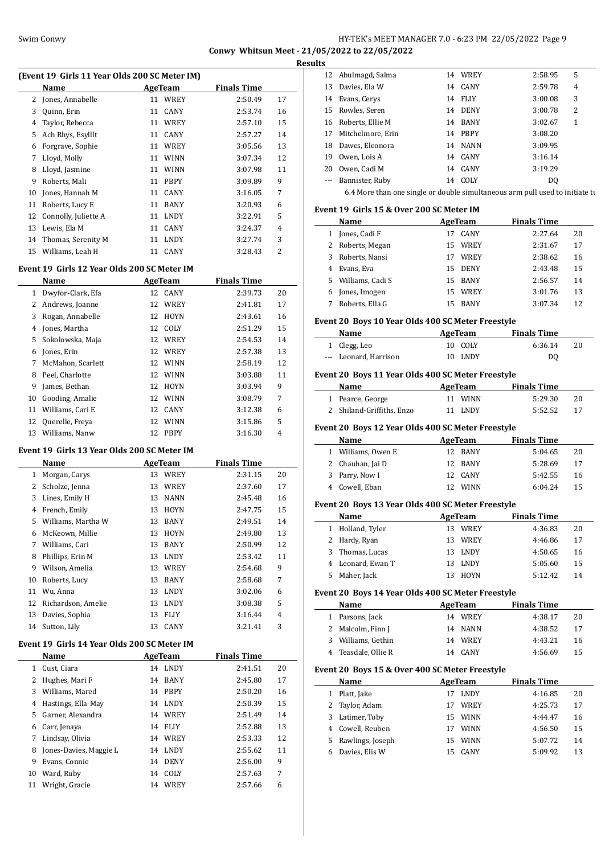# Swim Conwy HY-TEK's MEET MANAGER 7.0 - 6:23 PM 22/05/2022 Page 9 **Conwy Whitsun Meet - 21/05/2022 to 22/05/2022**

| (Event 19 Girls 11 Year Olds 200 SC Meter IM) |                                             |                |             |                    |    |
|-----------------------------------------------|---------------------------------------------|----------------|-------------|--------------------|----|
|                                               | Name                                        | <b>AgeTeam</b> |             | <b>Finals Time</b> |    |
| 2                                             | Jones, Annabelle                            |                | 11 WREY     | 2:50.49            | 17 |
| 3                                             | Quinn, Erin                                 | 11             | CANY        | 2:53.74            | 16 |
| 4                                             | Taylor, Rebecca                             | 11             | WREY        | 2:57.10            | 15 |
| 5                                             | Ach Rhys, Esylllt                           | 11             | CANY        | 2:57.27            | 14 |
| 6                                             | Forgrave, Sophie                            | 11             | WREY        | 3:05.56            | 13 |
| 7                                             | Lloyd, Molly                                | 11             | <b>WINN</b> | 3:07.34            | 12 |
| 8                                             | Lloyd, Jasmine                              | 11             | <b>WINN</b> | 3:07.98            | 11 |
| 9                                             | Roberts, Mali                               | 11             | PBPY        | 3:09.89            | 9  |
| 10                                            | Jones, Hannah M                             | 11             | CANY        | 3:16.05            | 7  |
| 11                                            | Roberts, Lucy E                             | 11             | BANY        | 3:20.93            | 6  |
| 12                                            | Connolly, Juliette A                        | 11             | <b>LNDY</b> | 3:22.91            | 5  |
| 13                                            | Lewis, Ela M                                | 11             | CANY        | 3:24.37            | 4  |
| 14                                            | Thomas, Serenity M                          | 11             | <b>LNDY</b> | 3:27.74            | 3  |
| 15                                            | Williams, Leah H                            | 11             | CANY        | 3:28.43            | 2  |
|                                               | Event 19 Girls 12 Year Olds 200 SC Meter IM |                |             |                    |    |
|                                               | <b>Name</b>                                 | AgeTeam        |             | <b>Finals Time</b> |    |
| $\mathbf{1}$                                  | Dwyfor-Clark, Efa                           | 12             | CANY        | 2:39.73            | 20 |
| 2                                             | Andrews, Joanne                             | 12             | WREY        | 2:41.81            | 17 |
| 3                                             | Rogan, Annabelle                            | 12             | <b>HOYN</b> | 2:43.61            | 16 |
| 4                                             | Jones, Martha                               | 12             | COLY        | 2:51.29            | 15 |
| 5                                             | Sokolowska, Maja                            |                | 12 WREY     |                    | 14 |
| 6                                             | Jones, Erin                                 |                | 12 WREY     | 2:54.53<br>2:57.38 | 13 |
| 7                                             | McMahon, Scarlett                           |                | 12 WINN     | 2:58.19            | 12 |
| 8                                             | Peel, Charlotte                             | 12             | <b>WINN</b> |                    | 11 |
| 9                                             | James, Bethan                               |                |             | 3:03.88            | 9  |
|                                               |                                             | 12             | <b>HOYN</b> | 3:03.94            |    |
| 10                                            | Gooding, Amalie                             |                | 12 WINN     | 3:08.79            | 7  |
| 11                                            | Williams, Cari E                            | 12             | CANY        | 3:12.38            | 6  |
| 12                                            | Querelle, Freya                             | 12             | WINN        | 3:15.86            | 5  |
| 13                                            | Williams, Nanw                              | 12             | PBPY        | 3:16.30            | 4  |
|                                               | Event 19 Girls 13 Year Olds 200 SC Meter IM |                |             |                    |    |
|                                               | Name                                        | <b>AgeTeam</b> |             | <b>Finals Time</b> |    |
| 1                                             | Morgan, Carys                               |                | 13 WREY     | 2:31.15            | 20 |
| 2                                             | Scholze, Jenna                              |                | 13 WREY     | 2:37.60            | 17 |
| 3                                             | Lines, Emily H                              |                | 13 NANN     | 2:45.48            | 16 |
| 4                                             | French, Emily                               |                | 13 HOYN     | 2:47.75            | 15 |
|                                               | 5 Williams, Martha W                        |                | 13 BANY     | 2:49.51            | 14 |
|                                               | 6 McKeown, Millie                           | 13             | HOYN        | 2:49.80            | 13 |
| 7                                             | Williams, Cari                              | 13             | BANY        | 2:50.99            | 12 |
| 8                                             | Phillips, Erin M                            | 13             | LNDY        | 2:53.42            | 11 |
| 9                                             | Wilson, Amelia                              | 13             | WREY        | 2:54.68            | 9  |
| 10                                            | Roberts, Lucy                               | 13             | BANY        | 2:58.68            | 7  |
| 11                                            | Wu, Anna                                    | 13             | LNDY        | 3:02.06            | 6  |
| 12                                            | Richardson, Amelie                          | 13             | LNDY        | 3:08.38            | 5  |
| 13                                            | Davies, Sophia                              | 13             | <b>FLIY</b> | 3:16.44            | 4  |
| 14                                            | Sutton, Lily                                | 13             | CANY        | 3:21.41            | 3  |
|                                               | Event 19 Girls 14 Year Olds 200 SC Meter IM |                |             |                    |    |
|                                               | Name                                        | <b>AgeTeam</b> |             | <b>Finals Time</b> |    |
| $\mathbf{1}$                                  | Cust, Ciara                                 |                | 14 LNDY     | 2:41.51            | 20 |
| 2                                             | Hughes, Mari F                              | 14             | BANY        | 2:45.80            | 17 |
| 3                                             | Williams, Mared                             | 14             | PBPY        | 2:50.20            | 16 |
| 4                                             | Hastings, Ella-May                          | 14             | LNDY        | 2:50.39            | 15 |
| 5                                             | Garner, Alexandra                           |                | 14 WREY     | 2:51.49            | 14 |
| 6                                             | Carr, Jenaya                                | 14             | <b>FLIY</b> | 2:52.88            | 13 |
| 7                                             | Lindsay, Olivia                             | 14             | WREY        | 2:53.33            | 12 |

8 Jones-Davies, Maggie L 14 LNDY 2:55.62 11 Evans, Connie 14 DENY 2:56.00 9 Ward, Ruby 14 COLY 2:57.63 7 Wright, Gracie 14 WREY 2:57.66 6

| <b>Results</b> |                                                                              |    |             |         |   |
|----------------|------------------------------------------------------------------------------|----|-------------|---------|---|
|                | 12 Abulmagd, Salma                                                           |    | 14 WREY     | 2:58.95 | 5 |
| 13             | Davies, Ela W                                                                |    | 14 CANY     | 2:59.78 | 4 |
|                | 14 Evans, Cervs                                                              | 14 | <b>FLIY</b> | 3:00.08 | 3 |
|                | 15 Rowles, Seren                                                             |    | 14 DENY     | 3:00.78 | 2 |
|                | 16 Roberts. Ellie M                                                          |    | 14 BANY     | 3:02.67 | 1 |
|                | 17 Mitchelmore, Erin                                                         |    | 14 PBPY     | 3:08.20 |   |
|                | 18 Dawes, Eleonora                                                           |    | 14 NANN     | 3:09.95 |   |
| 19             | Owen, Lois A                                                                 |    | 14 CANY     | 3:16.14 |   |
| 20             | Owen, Cadi M                                                                 |    | 14 CANY     | 3:19.29 |   |
|                | --- Bannister, Ruby                                                          |    | 14 COLY     | DQ      |   |
|                | 6.4 More than one single or double simultaneous arm pull used to initiate to |    |             |         |   |

#### **Event 19 Girls 15 & Over 200 SC Meter IM**

 $\equiv$ 

 $\overline{\phantom{0}}$ 

|    | Name             | AgeTeam            | <b>Finals Time</b> |    |
|----|------------------|--------------------|--------------------|----|
|    | Jones, Cadi F    | <b>CANY</b>        | 2:27.64            | 20 |
|    | 2 Roberts, Megan | WREY<br>15         | 2:31.67            | 17 |
| 3  | Roberts, Nansi   | WREY               | 2:38.62            | 16 |
| 4  | Evans. Eva       | <b>DENY</b><br>15. | 2:43.48            | 15 |
| 5. | Williams, Cadi S | 15 BANY            | 2:56.57            | 14 |
| 6  | Jones, Imogen    | <b>WREY</b><br>15  | 3:01.76            | 13 |
|    | Roberts, Ella G  | <b>BANY</b><br>15  | 3:07.34            | 12 |

#### **Event 20 Boys 10 Year Olds 400 SC Meter Freestyle**

| Name                  | AgeTeam | <b>Finals Time</b> |    |
|-----------------------|---------|--------------------|----|
| 1 Clegg, Leo          | 10 COLY | 6:36.14            | 20 |
| --- Leonard, Harrison | 10 LNDY | DO                 |    |

#### **Event 20 Boys 11 Year Olds 400 SC Meter Freestyle**

| Name                      | AgeTeam | <b>Finals Time</b> |    |
|---------------------------|---------|--------------------|----|
| 1 Pearce, George          | 11 WINN | 5:29.30            | 20 |
| 2 Shiland-Griffiths, Enzo | 11 LNDY | 5:52.52            | 17 |

# **Event 20 Boys 12 Year Olds 400 SC Meter Freestyle**

| Name |                    | AgeTeam     | <b>Finals Time</b> |    |
|------|--------------------|-------------|--------------------|----|
|      | 1 Williams, Owen E | 12 BANY     | 5:04.65            | 20 |
|      | 2 Chauhan, Jai D   | 12 RANY     | 5:28.69            | 17 |
|      | 3 Parry, Now I     | 12 CANY     | 5:42.55            | 16 |
|      | 4 Cowell, Eban     | <b>WINN</b> | 6:04.24            | 15 |

#### **Event 20 Boys 13 Year Olds 400 SC Meter Freestyle**

| Name              |  | AgeTeam | <b>Finals Time</b> |    |
|-------------------|--|---------|--------------------|----|
| 1 Holland, Tyler  |  | 13 WREY | 4:36.83            | 20 |
| 2 Hardy, Ryan     |  | 13 WREY | 4:46.86            | 17 |
| 3 Thomas, Lucas   |  | 13 LNDY | 4:50.65            | 16 |
| 4 Leonard, Ewan T |  | 13 LNDY | 5:05.60            | 15 |
| 5 Maher, Jack     |  | HOYN    | 5:12.42            | 14 |

#### **Event 20 Boys 14 Year Olds 400 SC Meter Freestyle**

| Name                | AgeTeam |         | <b>Finals Time</b> |    |
|---------------------|---------|---------|--------------------|----|
| 1 Parsons, Jack     |         | 14 WREY | 4:38.17            | 20 |
| 2 Malcolm, Finn J   |         | 14 NANN | 4:38.52            | 17 |
| 3 Williams, Gethin  |         | 14 WREY | 4:43.21            | 16 |
| 4 Teasdale, Ollie R |         | 14 CANY | 4:56.69            | 15 |

#### **Event 20 Boys 15 & Over 400 SC Meter Freestyle**

|   | Name               |     | AgeTeam     | <b>Finals Time</b> |    |
|---|--------------------|-----|-------------|--------------------|----|
| 1 | Platt, Jake        | 17  | LNDY        | 4:16.85            | 20 |
|   | 2 Taylor, Adam     | 17  | WREY        | 4:25.73            | 17 |
|   | 3 Latimer, Toby    | 15. | WINN        | 4:44.47            | 16 |
|   | 4 Cowell, Reuben   | 17  | <b>WINN</b> | 4:56.50            | 15 |
|   | 5 Rawlings, Joseph | 15. | WINN        | 5:07.72            | 14 |
|   | Davies, Elis W     | 15  | CANY        | 5:09.92            | 13 |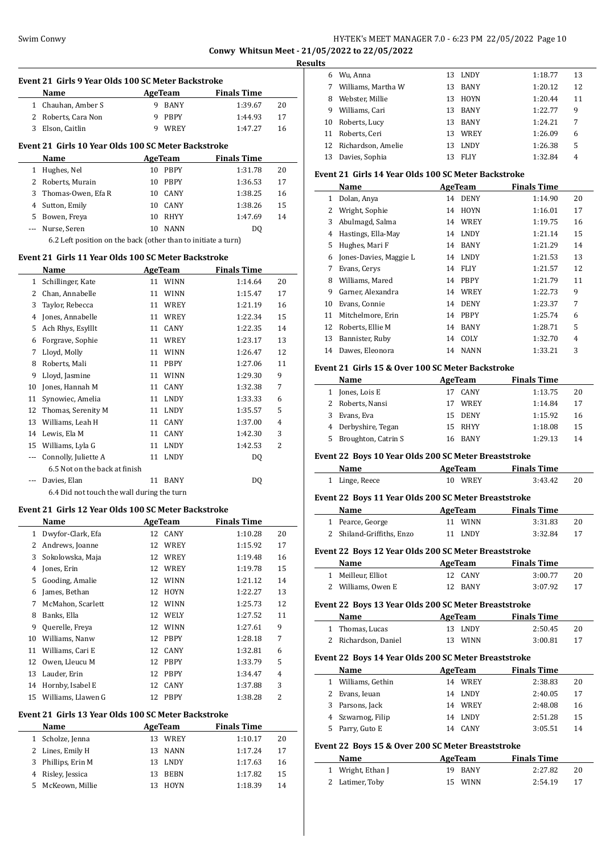#### Swim Conwy **HY-TEK's MEET MANAGER 7.0 - 6:23 PM 22/05/2022** Page 10 **Conwy Whitsun Meet - 21/05/2022 to 22/05/2022**

**Results**

 $\overline{a}$ 

 $\overline{a}$ 

 $\overline{a}$ 

 $\overline{a}$ 

 $\overline{a}$ 

 $\overline{\phantom{a}}$ 

| Event 21 Girls 9 Year Olds 100 SC Meter Backstroke |                                                               |    |                |                    |    |  |  |  |
|----------------------------------------------------|---------------------------------------------------------------|----|----------------|--------------------|----|--|--|--|
|                                                    | Name                                                          |    | AgeTeam        | <b>Finals Time</b> |    |  |  |  |
| $1 \quad$                                          | Chauhan, Amber S                                              | 9. | BANY           | 1:39.67            | 20 |  |  |  |
|                                                    | 2 Roberts, Cara Non                                           | 9  | PBPY           | 1:44.93            | 17 |  |  |  |
| 3                                                  | Elson, Caitlin                                                | 9  | WREY           | 1:47.27            | 16 |  |  |  |
|                                                    | Event 21 Girls 10 Year Olds 100 SC Meter Backstroke           |    |                |                    |    |  |  |  |
|                                                    | Name                                                          |    | AgeTeam        | <b>Finals Time</b> |    |  |  |  |
| $1 \quad$                                          | Hughes, Nel                                                   |    | 10 PBPY        | 1:31.78            | 20 |  |  |  |
| $\mathbf{2}$                                       | Roberts, Murain                                               |    | 10 PBPY        | 1:36.53            | 17 |  |  |  |
| 3                                                  | Thomas-Owen, Efa R                                            |    | 10 CANY        | 1:38.25            | 16 |  |  |  |
| 4                                                  | Sutton, Emily                                                 |    | 10 CANY        | 1:38.26            | 15 |  |  |  |
|                                                    | 5 Bowen, Freya                                                |    | 10 RHYY        | 1:47.69            | 14 |  |  |  |
| ---                                                | Nurse, Seren                                                  | 10 | <b>NANN</b>    | DQ                 |    |  |  |  |
|                                                    | 6.2 Left position on the back (other than to initiate a turn) |    |                |                    |    |  |  |  |
|                                                    | Event 21 Girls 11 Year Olds 100 SC Meter Backstroke           |    |                |                    |    |  |  |  |
|                                                    | Name                                                          |    | <b>AgeTeam</b> | <b>Finals Time</b> |    |  |  |  |
| $\mathbf{1}$                                       | Schillinger, Kate                                             |    | 11 WINN        | 1:14.64            | 20 |  |  |  |
|                                                    | 2 Chan, Annabelle                                             |    | 11 WINN        | 1:15.47            | 17 |  |  |  |
| 3                                                  | Taylor, Rebecca                                               |    | 11 WREY        | 1:21.19            | 16 |  |  |  |
|                                                    | 4 Jones, Annabelle                                            |    | 11 WREY        | 1:22.34            | 15 |  |  |  |
| 5                                                  | Ach Rhys, Esylllt                                             |    | 11 CANY        | 1:22.35            | 14 |  |  |  |
|                                                    | 6 Forgrave, Sophie                                            |    | 11 WREY        | 1:23.17            | 13 |  |  |  |
| 7                                                  | Lloyd, Molly                                                  |    | 11 WINN        | 1:26.47            | 12 |  |  |  |
| 8                                                  | Roberts, Mali                                                 |    | 11 PBPY        | 1:27.06            | 11 |  |  |  |
| 9                                                  | Lloyd, Jasmine                                                |    | 11 WINN        | 1:29.30            | 9  |  |  |  |
| 10                                                 | Jones, Hannah M                                               | 11 | CANY           | 1:32.38            | 7  |  |  |  |
| 11                                                 | Synowiec, Amelia                                              |    | 11 LNDY        | 1:33.33            | 6  |  |  |  |
| 12                                                 | Thomas, Serenity M                                            |    | 11 LNDY        | 1:35.57            | 5  |  |  |  |
| 13                                                 | Williams, Leah H                                              | 11 | CANY           | 1:37.00            | 4  |  |  |  |
|                                                    | 14 Lewis, Ela M                                               | 11 | <b>CANY</b>    | 1:42.30            | 3  |  |  |  |
| 15                                                 | Williams, Lyla G                                              | 11 | <b>LNDY</b>    | 1:42.53            | 2  |  |  |  |
| ---                                                | Connolly, Juliette A                                          | 11 | <b>LNDY</b>    | DO.                |    |  |  |  |
|                                                    | 6.5 Not on the back at finish                                 |    |                |                    |    |  |  |  |
| ---                                                | Davies, Elan                                                  | 11 | <b>BANY</b>    | DO.                |    |  |  |  |
|                                                    | 6.4 Did not touch the wall during the turn                    |    |                |                    |    |  |  |  |
|                                                    | Event 21 Girls 12 Year Olds 100 SC Meter Backstroke           |    |                |                    |    |  |  |  |

### **Name AgeTeam Finals Time**  Dwyfor-Clark, Efa 12 CANY 1:10.28 20 Andrews, Joanne 12 WREY 1:15.92 17 Sokolowska, Maja 12 WREY 1:19.48 16 Jones, Erin 12 WREY 1:19.78 15 5 Gooding, Amalie 12 WINN 1:21.12 14 James, Bethan 12 HOYN 1:22.27 13 7 McMahon, Scarlett 12 WINN 1:25.73 12 8 Banks, Ella 12 WELY 1:27.52 11 Querelle, Freya 12 WINN 1:27.61 9 Williams, Nanw 12 PBPY 1:28.18 7 11 Williams, Cari E 12 CANY 1:32.81 6 Owen, Lleucu M 12 PBPY 1:33.79 5 Lauder, Erin 12 PBPY 1:34.47 4 14 Hornby, Isabel E 12 CANY 1:37.88 3 Williams, Llawen G 12 PBPY 1:38.28 2

#### **Event 21 Girls 13 Year Olds 100 SC Meter Backstroke**

|    | Name             | AgeTeam           | <b>Finals Time</b> |    |
|----|------------------|-------------------|--------------------|----|
|    | 1 Scholze, Jenna | WREY<br>13        | 1:10.17            | 20 |
|    | 2 Lines, Emily H | NANN<br>13.       | 1:17.24            | 17 |
| 3  | Phillips, Erin M | LNDY<br>13.       | 1:17.63            | 16 |
|    | Risley, Jessica  | <b>BEBN</b><br>13 | 1:17.82            | 15 |
| 5. | McKeown, Millie  | <b>HOYN</b>       | 1:18.39            | 14 |
|    |                  |                   |                    |    |

| ້  |                       |    |             |         |    |
|----|-----------------------|----|-------------|---------|----|
| 6  | Wu, Anna              |    | 13 LNDY     | 1:18.77 | 13 |
|    | Williams, Martha W    | 13 | <b>BANY</b> | 1:20.12 | 12 |
| 8  | Webster, Millie       | 13 | <b>HOYN</b> | 1:20.44 | 11 |
| 9  | Williams, Cari        | 13 | <b>BANY</b> | 1:22.77 | 9  |
| 10 | Roberts, Lucy         | 13 | <b>BANY</b> | 1:24.21 | 7  |
| 11 | Roberts, Ceri         | 13 | <b>WREY</b> | 1:26.09 | 6  |
|    | 12 Richardson, Amelie | 13 | <b>LNDY</b> | 1:26.38 | 5  |
| 13 | Davies, Sophia        |    | <b>FLIY</b> | 1:32.84 | 4  |

#### **Event 21 Girls 14 Year Olds 100 SC Meter Backstroke**

|    | Name                   | AgeTeam |             | <b>Finals Time</b> |                |
|----|------------------------|---------|-------------|--------------------|----------------|
| 1  | Dolan, Anya            | 14      | <b>DENY</b> | 1:14.90            | 20             |
| 2  | Wright, Sophie         | 14      | <b>HOYN</b> | 1:16.01            | 17             |
| 3  | Abulmagd, Salma        | 14      | WREY        | 1:19.75            | 16             |
| 4  | Hastings, Ella-May     | 14      | <b>LNDY</b> | 1:21.14            | 15             |
| 5. | Hughes, Mari F         | 14      | <b>BANY</b> | 1:21.29            | 14             |
| 6  | Jones-Davies, Maggie L | 14      | <b>LNDY</b> | 1:21.53            | 13             |
| 7  | Evans, Cerys           | 14      | <b>FLIY</b> | 1:21.57            | 12             |
| 8  | Williams, Mared        | 14      | <b>PBPY</b> | 1:21.79            | 11             |
| 9  | Garner, Alexandra      | 14      | WREY        | 1:22.73            | 9              |
| 10 | Evans, Connie          | 14      | <b>DENY</b> | 1:23.37            | 7              |
| 11 | Mitchelmore, Erin      | 14      | <b>PBPY</b> | 1:25.74            | 6              |
| 12 | Roberts, Ellie M       | 14      | <b>BANY</b> | 1:28.71            | 5              |
| 13 | Bannister, Ruby        | 14      | COLY        | 1:32.70            | $\overline{4}$ |
| 14 | Dawes, Eleonora        | 14      | <b>NANN</b> | 1:33.21            | 3              |

#### **Event 21 Girls 15 & Over 100 SC Meter Backstroke**

| Name |                       | AgeTeam    | <b>Finals Time</b> |    |
|------|-----------------------|------------|--------------------|----|
|      | Jones, Lois E         | CANY<br>17 | 1:13.75            | 20 |
|      | 2 Roberts, Nansi      | WREY<br>17 | 1:14.84            | 17 |
|      | Evans, Eva            | 15 DENY    | 1:15.92            | 16 |
|      | 4 Derbyshire, Tegan   | 15 RHYY    | 1:18.08            | 15 |
|      | 5 Broughton, Catrin S | 16 RANY    | 1:29.13            | 14 |

#### **Event 22 Boys 10 Year Olds 200 SC Meter Breaststroke**

| Name           | AgeTeam | <b>Finals Time</b> |    |
|----------------|---------|--------------------|----|
| 1 Linge, Reece | 10 WREY | 3:43.42            | 20 |

#### **Event 22 Boys 11 Year Olds 200 SC Meter Breaststroke**

|   | Event 22  Boys 11 Year Olds 200 SC Meter Breaststroke |         |                    |    |  |  |  |  |
|---|-------------------------------------------------------|---------|--------------------|----|--|--|--|--|
|   | Name                                                  | AgeTeam | <b>Finals Time</b> |    |  |  |  |  |
| 1 | Pearce, George                                        | 11 WINN | 3:31.83            | 20 |  |  |  |  |
|   | 2 Shiland-Griffiths, Enzo                             | 11 LNDY | 3:32.84            | 17 |  |  |  |  |
|   | Event 22 Boys 12 Year Olds 200 SC Meter Breaststroke  |         |                    |    |  |  |  |  |
|   | Name                                                  | AgeTeam | <b>Finals Time</b> |    |  |  |  |  |
| 1 | Meilleur. Elliot                                      | 12 CANY | 3:00.77            | 20 |  |  |  |  |
|   | 2 Williams, Owen E                                    | 12 BANY | 3:07.92            | 17 |  |  |  |  |
|   | Event 22 Boys 13 Year Olds 200 SC Meter Breaststroke  |         |                    |    |  |  |  |  |
|   | Name                                                  | AgeTeam | <b>Finals Time</b> |    |  |  |  |  |
| 1 | Thomas, Lucas                                         | 13 LNDY | 2:50.45            | 20 |  |  |  |  |
| 2 | Richardson, Daniel                                    | 13 WINN | 3:00.81            | 17 |  |  |  |  |
|   |                                                       |         |                    |    |  |  |  |  |

# **Event 22 Boys 14 Year Olds 200 SC Meter Breaststroke**

| Name                | AgeTeam           | <b>Finals Time</b> |    |
|---------------------|-------------------|--------------------|----|
| 1 Williams, Gethin  | WREY<br>14        | 2:38.83            | 20 |
| 2 Evans, Ieuan      | 14 LNDY           | 2:40.05            | 17 |
| 3 Parsons, Jack     | 14 WREY           | 2:48.08            | 16 |
| 4 Szwarnog, Filip   | LNDY<br>14        | 2:51.28            | 15 |
| Parry, Guto E<br>5. | <b>CANY</b><br>14 | 3:05.51            | 14 |
|                     |                   |                    |    |

#### **Event 22 Boys 15 & Over 200 SC Meter Breaststroke**

| Name              | AgeTeam | <b>Finals Time</b> |     |
|-------------------|---------|--------------------|-----|
| 1 Wright, Ethan J | 19 BANY | 2:27.82            | 20  |
| 2 Latimer, Toby   | 15 WINN | 2:54.19            | -17 |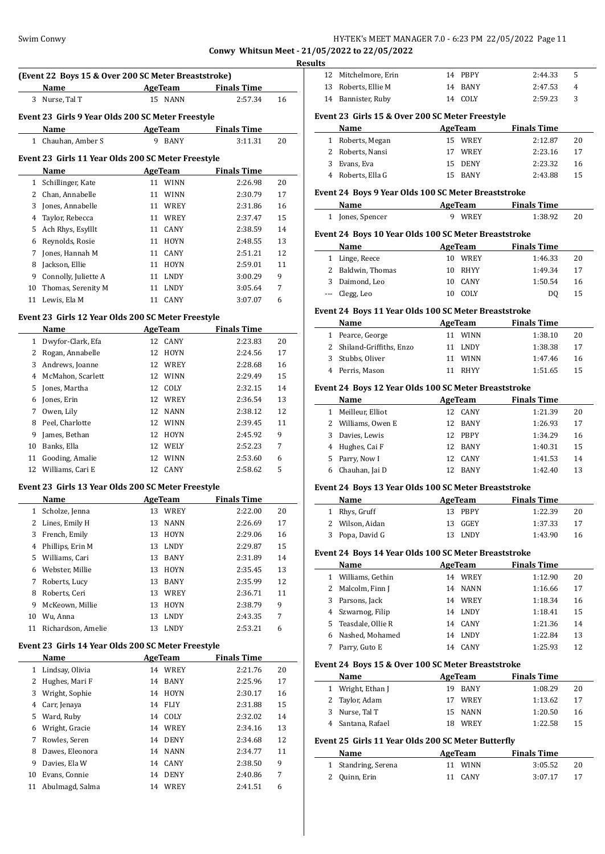**Conwy Whitsun Meet - 21/05/2022 to 22/05/2022**

|              | (Event 22 Boys 15 & Over 200 SC Meter Breaststroke)<br>Name | <b>Example 2 AgeTeam</b> Finals Time |                    |    |
|--------------|-------------------------------------------------------------|--------------------------------------|--------------------|----|
| 3            | Nurse, Tal T                                                | 15 NANN                              | 2:57.34            | 16 |
|              | Event 23 Girls 9 Year Olds 200 SC Meter Freestyle           |                                      |                    |    |
|              | Name                                                        | AgeTeam                              | <b>Finals Time</b> |    |
|              | 1 Chauhan, Amber S                                          | 9 BANY                               | 3:11.31            | 20 |
|              | Event 23 Girls 11 Year Olds 200 SC Meter Freestyle          |                                      |                    |    |
|              | Name                                                        | <b>AgeTeam</b>                       | <b>Finals Time</b> |    |
|              | 1 Schillinger, Kate                                         | 11 WINN                              | 2:26.98            | 20 |
|              | 2 Chan, Annabelle                                           | 11 WINN                              | 2:30.79            | 17 |
| 3            | Jones, Annabelle                                            | 11 WREY                              | 2:31.86            | 16 |
| 4            | Taylor, Rebecca                                             | 11 WREY                              | 2:37.47            | 15 |
| 5            | Ach Rhys, Esylllt                                           | CANY<br>11                           | 2:38.59            | 14 |
| 6            | Reynolds, Rosie                                             | <b>HOYN</b><br>11                    | 2:48.55            | 13 |
| 7            | Jones, Hannah M                                             | CANY<br>11                           | 2:51.21            | 12 |
| 8            | Jackson, Ellie                                              | 11<br>HOYN                           | 2:59.01            | 11 |
| 9            | Connolly, Juliette A                                        | 11 LNDY                              | 3:00.29            | 9  |
| 10           | Thomas, Serenity M                                          | 11 LNDY                              | 3:05.64            | 7  |
|              | 11 Lewis, Ela M                                             | 11 CANY                              | 3:07.07            | 6  |
|              | Event 23 Girls 12 Year Olds 200 SC Meter Freestyle          |                                      |                    |    |
|              | <b>Name</b>                                                 | AgeTeam                              | <b>Finals Time</b> |    |
|              | 1 Dwyfor-Clark, Efa                                         | 12 CANY                              | 2:23.83            | 20 |
|              | 2 Rogan, Annabelle                                          | 12 HOYN                              | 2:24.56            | 17 |
| 3            | Andrews, Joanne                                             | 12 WREY                              | 2:28.68            | 16 |
|              | 4 McMahon, Scarlett                                         | 12 WINN                              | 2:29.49            | 15 |
| 5            | Jones, Martha                                               | COLY<br>12                           | 2:32.15            | 14 |
|              | 6 Jones, Erin                                               | 12<br>WREY                           | 2:36.54            | 13 |
| 7            | Owen, Lily                                                  | <b>NANN</b><br>12                    | 2:38.12            | 12 |
| 8            | Peel, Charlotte                                             | 12 WINN                              | 2:39.45            | 11 |
| 9            | James, Bethan                                               | 12<br>HOYN                           | 2:45.92            | 9  |
|              | 10 Banks, Ella                                              | 12 WELY                              | 2:52.23            | 7  |
| 11           | Gooding, Amalie                                             | 12 WINN                              | 2:53.60            | 6  |
|              | 12 Williams, Cari E                                         | 12 CANY                              | 2:58.62            | 5  |
|              |                                                             |                                      |                    |    |
|              | Event 23 Girls 13 Year Olds 200 SC Meter Freestyle<br>Name  | <b>AgeTeam</b>                       | <b>Finals Time</b> |    |
| $\mathbf{1}$ | Scholze, Jenna                                              | 13 WREY                              | 2:22.00            | 20 |
|              | 2 Lines, Emily H                                            | NANN<br>13                           | 2:26.69            | 17 |
| 3            | French, Emily                                               | 13<br>HOYN                           | 2:29.06            | 16 |
| 4            | Phillips, Erin M                                            | 13<br>LNDY                           | 2:29.87            | 15 |
|              | 5 Williams, Cari                                            | 13<br>BANY                           | 2:31.89            | 14 |
| 6            | Webster, Millie                                             | 13<br><b>HOYN</b>                    | 2:35.45            | 13 |
| 7            | Roberts, Lucy                                               | 13<br>BANY                           | 2:35.99            | 12 |
| 8            | Roberts, Ceri                                               | 13 WREY                              | 2:36.71            | 11 |
|              | McKeown, Millie                                             | 13<br><b>HOYN</b>                    | 2:38.79            | 9  |
|              | Wu, Anna                                                    | LNDY<br>13                           | 2:43.35            | 7  |
| 9            | Richardson, Amelie                                          | 13<br>LNDY                           | 2:53.21            | 6  |
| 10           |                                                             |                                      |                    |    |
| 11           |                                                             |                                      |                    |    |
|              | Event 23 Girls 14 Year Olds 200 SC Meter Freestyle          |                                      |                    |    |
|              | Name                                                        | <b>AgeTeam</b>                       | <b>Finals Time</b> |    |
| $\mathbf{1}$ | Lindsay, Olivia                                             | 14 WREY                              | 2:21.76            | 20 |
| $\mathbf{2}$ | Hughes, Mari F                                              | 14 BANY                              | 2:25.96            | 17 |
| 3            | Wright, Sophie                                              | HOYN<br>14                           | 2:30.17            | 16 |
| 4            | Carr, Jenaya                                                | 14 FLIY                              | 2:31.88            | 15 |
| 5            | Ward, Ruby                                                  | 14 COLY                              | 2:32.02            | 14 |
| 6            | Wright, Gracie                                              | 14 WREY                              | 2:34.16            | 13 |
| 7            | Rowles, Seren                                               | 14 DENY                              | 2:34.68            | 12 |
| 8            | Dawes, Eleonora                                             | 14 NANN                              | 2:34.77            | 11 |
| 9            | Davies, Ela W                                               | 14 CANY                              | 2:38.50            | 9  |
| 10           | Evans, Connie<br>11 Abulmagd, Salma                         | 14 DENY<br>14 WREY                   | 2:40.86            | 7  |

| lts                                             |                      |  |         |         |   |  |
|-------------------------------------------------|----------------------|--|---------|---------|---|--|
|                                                 | 12 Mitchelmore, Erin |  | 14 PBPY | 2:44.33 | 5 |  |
|                                                 | 13 Roberts, Ellie M  |  | 14 BANY | 2:47.53 | 4 |  |
|                                                 | 14 Bannister, Ruby   |  | 14 COLY | 2:59.23 | 3 |  |
| Event 23 Girls 15 & Over 200 SC Meter Freestyle |                      |  |         |         |   |  |

|   | Name             | AgeTeam |         | <b>Finals Time</b> |    |
|---|------------------|---------|---------|--------------------|----|
|   | 1 Roberts, Megan |         | 15 WREY | 2:12.87            | 20 |
|   | 2 Roberts, Nansi |         | WREY    | 2:23.16            | 17 |
| 3 | Evans, Eva       |         | 15 DENY | 2:23.32            | 16 |
|   | Roberts, Ella G  |         | 15 RANY | 2:43.88            | 15 |

# **Event 24 Boys 9 Year Olds 100 SC Meter Breaststroke**

| Name             | AgeTeam | <b>Finals Time</b> |  |  |
|------------------|---------|--------------------|--|--|
| 1 Jones, Spencer | 9 WREY  | 1:38.92            |  |  |

#### **Event 24 Boys 10 Year Olds 100 SC Meter Breaststroke**

| Name |                   | AgeTeam |         | <b>Finals Time</b> |    |
|------|-------------------|---------|---------|--------------------|----|
|      | 1 Linge, Reece    | 10.     | WREY    | 1:46.33            | 20 |
|      | 2 Baldwin, Thomas |         | 10 RHYY | 1:49.34            | 17 |
|      | 3 Daimond, Leo    |         | 10 CANY | 1:50.54            | 16 |
|      | --- Clegg, Leo    |         | COLY    | D0                 | 15 |

#### **Event 24 Boys 11 Year Olds 100 SC Meter Breaststroke**

| <b>Name</b> |                           | <b>Finals Time</b><br>AgeTeam |             |         |    |
|-------------|---------------------------|-------------------------------|-------------|---------|----|
|             | 1 Pearce, George          |                               | 11 WINN     | 1:38.10 | 20 |
|             | 2 Shiland-Griffiths, Enzo |                               | 11 LNDY     | 1:38.38 | 17 |
|             | 3 Stubbs, Oliver          | 11                            | WINN        | 1:47.46 | 16 |
|             | 4 Perris, Mason           |                               | <b>RHYY</b> | 1:51.65 | 15 |

#### **Event 24 Boys 12 Year Olds 100 SC Meter Breaststroke**

|   | <b>Name</b>        | AgeTeam                        | <b>Finals Time</b> |    |
|---|--------------------|--------------------------------|--------------------|----|
| 1 | Meilleur, Elliot   | <b>CANY</b><br>12 <sup>°</sup> | 1:21.39            | 20 |
|   | 2 Williams, Owen E | <b>BANY</b><br>12.             | 1:26.93            | 17 |
| 3 | Davies, Lewis      | 12 PRPY                        | 1:34.29            | 16 |
| 4 | Hughes, Cai F      | 12 RANY                        | 1:40.31            | 15 |
|   | 5 Parry, Now I     | <b>CANY</b><br>12.             | 1:41.53            | 14 |
|   | Chauhan, Jai D     | <b>BANY</b><br>12              | 1:42.40            | 13 |
|   |                    |                                |                    |    |

#### **Event 24 Boys 13 Year Olds 100 SC Meter Breaststroke**

| Name            | AgeTeam | <b>Finals Time</b> |    |
|-----------------|---------|--------------------|----|
| 1 Rhys, Gruff   | 13 PBPY | 1:22.39            | 20 |
| 2 Wilson, Aidan | 13 GGEY | 1:37.33            | 17 |
| 3 Popa, David G | 13 LNDY | 1:43.90            | 16 |

#### **Event 24 Boys 14 Year Olds 100 SC Meter Breaststroke**

|   | Name                | AgeTeam |      | <b>Finals Time</b> |    |
|---|---------------------|---------|------|--------------------|----|
|   | 1 Williams, Gethin  | 14      | WREY | 1:12.90            | 20 |
|   | 2 Malcolm, Finn J   | 14      | NANN | 1:16.66            | 17 |
| 3 | Parsons, Jack       | 14      | WREY | 1:18.34            | 16 |
|   | 4 Szwarnog, Filip   | 14      | LNDY | 1:18.41            | 15 |
|   | 5 Teasdale, Ollie R | 14      | CANY | 1:21.36            | 14 |
| 6 | Nashed, Mohamed     | 14      | LNDY | 1:22.84            | 13 |
|   | Parry, Guto E       | 14      | CANY | 1:25.93            | 12 |

#### **Event 24 Boys 15 & Over 100 SC Meter Breaststroke**

| <b>Name</b>       | AgeTeam |         | <b>Finals Time</b> |    |  |
|-------------------|---------|---------|--------------------|----|--|
| 1 Wright, Ethan J | 19.     | BANY    | 1:08.29            | 20 |  |
| 2 Taylor, Adam    | 17      | WREY    | 1:13.62            | 17 |  |
| 3 Nurse, Tal T    |         | 15 NANN | 1:20.50            | 16 |  |
| 4 Santana, Rafael |         | WREY    | 1:22.58            | 15 |  |

# **Event 25 Girls 11 Year Olds 200 SC Meter Butterfly**

| Name                | AgeTeam | <b>Finals Time</b> |    |
|---------------------|---------|--------------------|----|
| 1 Standring, Serena | 11 WINN | 3:05.52            | 20 |
| 2 Quinn, Erin       | 11 CANY | 3:07.17            | 17 |